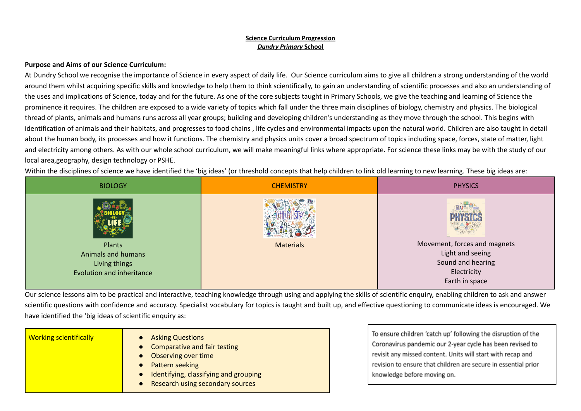### **Purpose and Aims of our Science Curriculum:**

At Dundry School we recognise the importance of Science in every aspect of daily life. Our Science curriculum aims to give all children a strong understanding of the world around them whilst acquiring specific skills and knowledge to help them to think scientifically, to gain an understanding of scientific processes and also an understanding of the uses and implications of Science, today and for the future. As one of the core subjects taught in Primary Schools, we give the teaching and learning of Science the prominence it requires. The children are exposed to a wide variety of topics which fall under the three main disciplines of biology, chemistry and physics. The biological thread of plants, animals and humans runs across all year groups; building and developing children's understanding as they move through the school. This begins with identification of animals and their habitats, and progresses to food chains , life cycles and environmental impacts upon the natural world. Children are also taught in detail about the human body, its processes and how it functions. The chemistry and physics units cover a broad spectrum of topics including space, forces, state of matter, light and electricity among others. As with our whole school curriculum, we will make meaningful links where appropriate. For science these links may be with the study of our local area,geography, design technology or PSHE.

Within the disciplines of science we have identified the 'big ideas' (or threshold concepts that help children to link old learning to new learning. These big ideas are:

| <b>BIOLOGY</b>            | <b>CHEMISTRY</b> | <b>PHYSICS</b>               |
|---------------------------|------------------|------------------------------|
|                           |                  |                              |
| Plants                    | <b>Materials</b> | Movement, forces and magnets |
| <b>Animals and humans</b> |                  | Light and seeing             |
| Living things             |                  | Sound and hearing            |
| Evolution and inheritance |                  | Electricity                  |
|                           |                  | Earth in space               |

Our science lessons aim to be practical and interactive, teaching knowledge through using and applying the skills of scientific enquiry, enabling children to ask and answer scientific questions with confidence and accuracy. Specialist vocabulary for topics is taught and built up, and effective questioning to communicate ideas is encouraged. We have identified the 'big ideas of scientific enquiry as:

| <b>Working scientifically</b> | • Asking Questions<br>• Comparative and fair testing<br>• Observing over time<br>• Pattern seeking<br>• Identifying, classifying and grouping |
|-------------------------------|-----------------------------------------------------------------------------------------------------------------------------------------------|
|                               | • Research using secondary sources                                                                                                            |

To ensure children 'catch up' following the disruption of the Coronavirus pandemic our 2-year cycle has been revised to revisit any missed content. Units will start with recap and revision to ensure that children are secure in essential prior knowledge before moving on.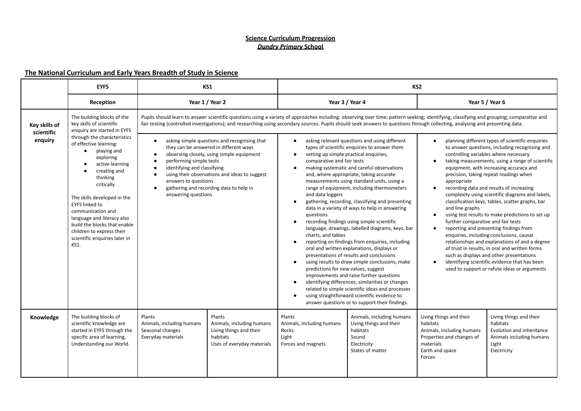### **The National Curriculum and Early Years Breadth of Study in Science**

|                                        | <b>EYFS</b>                                                                                                                                                                                                                                                                                                                                              |                                                                               | KS1                                                                                                                                                                                                                                                                                                                                      |                                                                                                                                                                                                                                                                                                                                                                                                                                                                                                                                                                                                            |                                                                                                                                                                                                                                                                                                                                                                                                                                                                                                                                                                                                                                                                                                                                                                                                                                                                                                                                                                                                                                                                                                                 | KS <sub>2</sub>                                                                                                                         |                                                                                                                                                                                                                                                                                                                                                                                                                                                                                                                                                                                                                                                                                                                                                                     |
|----------------------------------------|----------------------------------------------------------------------------------------------------------------------------------------------------------------------------------------------------------------------------------------------------------------------------------------------------------------------------------------------------------|-------------------------------------------------------------------------------|------------------------------------------------------------------------------------------------------------------------------------------------------------------------------------------------------------------------------------------------------------------------------------------------------------------------------------------|------------------------------------------------------------------------------------------------------------------------------------------------------------------------------------------------------------------------------------------------------------------------------------------------------------------------------------------------------------------------------------------------------------------------------------------------------------------------------------------------------------------------------------------------------------------------------------------------------------|-----------------------------------------------------------------------------------------------------------------------------------------------------------------------------------------------------------------------------------------------------------------------------------------------------------------------------------------------------------------------------------------------------------------------------------------------------------------------------------------------------------------------------------------------------------------------------------------------------------------------------------------------------------------------------------------------------------------------------------------------------------------------------------------------------------------------------------------------------------------------------------------------------------------------------------------------------------------------------------------------------------------------------------------------------------------------------------------------------------------|-----------------------------------------------------------------------------------------------------------------------------------------|---------------------------------------------------------------------------------------------------------------------------------------------------------------------------------------------------------------------------------------------------------------------------------------------------------------------------------------------------------------------------------------------------------------------------------------------------------------------------------------------------------------------------------------------------------------------------------------------------------------------------------------------------------------------------------------------------------------------------------------------------------------------|
|                                        | Reception                                                                                                                                                                                                                                                                                                                                                |                                                                               | Year 1 / Year 2                                                                                                                                                                                                                                                                                                                          |                                                                                                                                                                                                                                                                                                                                                                                                                                                                                                                                                                                                            | Year 3 / Year 4                                                                                                                                                                                                                                                                                                                                                                                                                                                                                                                                                                                                                                                                                                                                                                                                                                                                                                                                                                                                                                                                                                 |                                                                                                                                         | Year 5 / Year 6                                                                                                                                                                                                                                                                                                                                                                                                                                                                                                                                                                                                                                                                                                                                                     |
| Key skills of<br>scientific<br>enquiry | The building blocks of the<br>key skills of scientific<br>enquiry are started in EYFS<br>through the characteristics<br>of effective learning:<br>playing and<br>$\bullet$                                                                                                                                                                               | $\bullet$                                                                     |                                                                                                                                                                                                                                                                                                                                          | Pupils should learn to answer scientific questions using a variety of approaches including: observing over time; pattern seeking; identifying, classifying and grouping; comparative and<br>fair testing (controlled investigations); and researching using secondary sources. Pupils should seek answers to questions through collecting, analysing and presenting data.<br>asking relevant questions and using different<br>planning different types of scientific enquiries<br>$\bullet$<br>$\bullet$<br>types of scientific enquiries to answer them<br>to answer questions, including recognising and |                                                                                                                                                                                                                                                                                                                                                                                                                                                                                                                                                                                                                                                                                                                                                                                                                                                                                                                                                                                                                                                                                                                 |                                                                                                                                         |                                                                                                                                                                                                                                                                                                                                                                                                                                                                                                                                                                                                                                                                                                                                                                     |
|                                        | $\bullet$<br>exploring<br>$\bullet$<br>active learning<br>$\bullet$<br>creating and<br>$\bullet$<br>thinking<br>critically<br>$\bullet$<br>The skills developed in the<br><b>EYFS linked to</b><br>communication and<br>language and literacy also<br>build the blocks that enable<br>children to express their<br>scientific enquiries later in<br>KS1. |                                                                               | asking simple questions and recognising that<br>they can be answered in different ways<br>observing closely, using simple equipment<br>performing simple tests<br>identifying and classifying<br>using their observations and ideas to suggest<br>answers to questions<br>gathering and recording data to help in<br>answering questions |                                                                                                                                                                                                                                                                                                                                                                                                                                                                                                                                                                                                            | setting up simple practical enquiries,<br>$\bullet$<br>comparative and fair tests<br>making systematic and careful observations<br>$\bullet$<br>and, where appropriate, taking accurate<br>measurements using standard units, using a<br>range of equipment, including thermometers<br>and data loggers<br>gathering, recording, classifying and presenting<br>$\bullet$<br>data in a variety of ways to help in answering<br>questions<br>recording findings using simple scientific<br>language, drawings, labelled diagrams, keys, bar<br>charts, and tables<br>reporting on findings from enquiries, including<br>$\bullet$<br>oral and written explanations, displays or<br>presentations of results and conclusions<br>using results to draw simple conclusions, make<br>$\bullet$<br>predictions for new values, suggest<br>improvements and raise further questions<br>identifying differences, similarities or changes<br>$\bullet$<br>related to simple scientific ideas and processes<br>using straightforward scientific evidence to<br>$\bullet$<br>answer questions or to support their findings. |                                                                                                                                         | controlling variables where necessary<br>taking measurements, using a range of scientific<br>equipment, with increasing accuracy and<br>precision, taking repeat readings when<br>recording data and results of increasing<br>complexity using scientific diagrams and labels,<br>classification keys, tables, scatter graphs, bar<br>using test results to make predictions to set up<br>further comparative and fair tests<br>reporting and presenting findings from<br>enquiries, including conclusions, causal<br>relationships and explanations of and a degree<br>of trust in results, in oral and written forms<br>such as displays and other presentations<br>identifying scientific evidence that has been<br>used to support or refute ideas or arguments |
| Knowledge                              | The building blocks of<br>scientific knowledge are<br>started in EYFS through the<br>specific area of learning,<br>Understanding our World.                                                                                                                                                                                                              | Plants<br>Animals, including humans<br>Seasonal changes<br>Everyday materials | Plants<br>Animals, including humans<br>Living things and their<br>habitats<br>Uses of everyday materials                                                                                                                                                                                                                                 | Plants<br>Animals, including humans<br>Rocks<br>Light<br>Forces and magnets                                                                                                                                                                                                                                                                                                                                                                                                                                                                                                                                | Animals, including humans<br>Living things and their<br>habitats<br>Sound<br>Electricity<br>States of matter                                                                                                                                                                                                                                                                                                                                                                                                                                                                                                                                                                                                                                                                                                                                                                                                                                                                                                                                                                                                    | Living things and their<br>habitats<br>Animals, including humans<br>Properties and changes of<br>materials<br>Earth and space<br>Forces | Living things and their<br>habitats<br>Evolution and inheritance<br>Animals including humans<br>Light<br>Electricity                                                                                                                                                                                                                                                                                                                                                                                                                                                                                                                                                                                                                                                |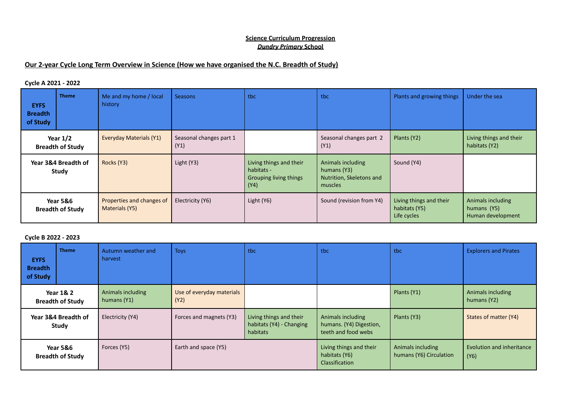### **Our 2-year Cycle Long Term Overview in Science (How we have organised the N.C. Breadth of Study)**

### **Cycle A 2021 - 2022**

| <b>EYFS</b><br><b>Breadth</b><br>of Study      | <b>Theme</b> | Me and my home / local<br>history           | <b>Seasons</b>                  | tbc                                                                            | tbc                                                                     | Plants and growing things                               | Under the sea                                         |
|------------------------------------------------|--------------|---------------------------------------------|---------------------------------|--------------------------------------------------------------------------------|-------------------------------------------------------------------------|---------------------------------------------------------|-------------------------------------------------------|
| Year $1/2$<br><b>Breadth of Study</b>          |              | <b>Everyday Materials (Y1)</b>              | Seasonal changes part 1<br>(Y1) |                                                                                | Seasonal changes part 2<br>(Y1)                                         | Plants (Y2)                                             | Living things and their<br>habitats (Y2)              |
| Year 3&4 Breadth of<br>Study                   |              | Rocks (Y3)                                  | Light (Y3)                      | Living things and their<br>habitats -<br><b>Grouping living things</b><br>(Y4) | Animals including<br>humans (Y3)<br>Nutrition, Skeletons and<br>muscles | Sound (Y4)                                              |                                                       |
| <b>Year 5&amp;6</b><br><b>Breadth of Study</b> |              | Properties and changes of<br>Materials (Y5) | Electricity (Y6)                | Light (Y6)                                                                     | Sound (revision from Y4)                                                | Living things and their<br>habitats (Y5)<br>Life cycles | Animals including<br>humans (Y5)<br>Human development |

### **Cycle B 2022 - 2023**

| <b>EYFS</b><br><b>Breadth</b><br>of Study       | <b>Theme</b> | Autumn weather and<br>harvest    | <b>Toys</b>                       | tbc                                                             | tbc                                                                 | tbc                                          | <b>Explorers and Pirates</b>      |
|-------------------------------------------------|--------------|----------------------------------|-----------------------------------|-----------------------------------------------------------------|---------------------------------------------------------------------|----------------------------------------------|-----------------------------------|
| <b>Year 1&amp; 2</b><br><b>Breadth of Study</b> |              | Animals including<br>humans (Y1) | Use of everyday materials<br>(Y2) |                                                                 |                                                                     | Plants (Y1)                                  | Animals including<br>humans (Y2)  |
| Year 3&4 Breadth of<br>Study                    |              | Electricity (Y4)                 | Forces and magnets (Y3)           | Living things and their<br>habitats (Y4) - Changing<br>habitats | Animals including<br>humans. (Y4) Digestion,<br>teeth and food webs | Plants (Y3)                                  | States of matter (Y4)             |
| <b>Year 5&amp;6</b><br><b>Breadth of Study</b>  |              | Forces (Y5)                      | Earth and space (Y5)              |                                                                 | Living things and their<br>habitats (Y6)<br><b>Classification</b>   | Animals including<br>humans (Y6) Circulation | Evolution and inheritance<br>(Y6) |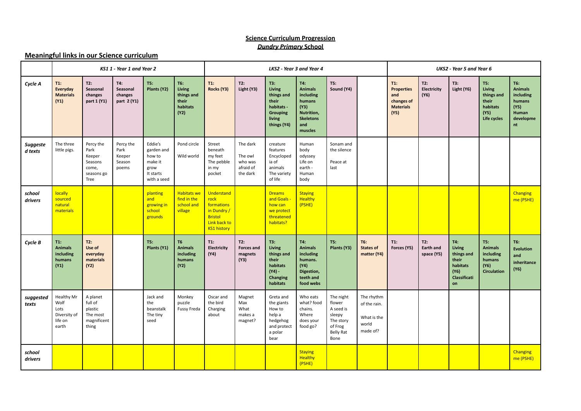### **Meaningful links in our Science curriculum**

|                     | KS11 - Year 1 and Year 2                                              |                                                                       |                                                |                                                                                |                                                                 | LKS2 - Year 3 and Year 4                                                                                |                                                         |                                                                                                       |                                                                                                          | <b>UKS2</b> - Year 5 and Year 6                                                                |                                                                |                                                                              |                                       |                                                                                |                                                                            |                                                                                  |
|---------------------|-----------------------------------------------------------------------|-----------------------------------------------------------------------|------------------------------------------------|--------------------------------------------------------------------------------|-----------------------------------------------------------------|---------------------------------------------------------------------------------------------------------|---------------------------------------------------------|-------------------------------------------------------------------------------------------------------|----------------------------------------------------------------------------------------------------------|------------------------------------------------------------------------------------------------|----------------------------------------------------------------|------------------------------------------------------------------------------|---------------------------------------|--------------------------------------------------------------------------------|----------------------------------------------------------------------------|----------------------------------------------------------------------------------|
| Cycle A             | $T1$ :<br>Everyday<br><b>Materials</b><br>(Y1)                        | T2:<br>Seasonal<br>changes<br>part 1 (Y1)                             | T4:<br>Seasonal<br>changes<br>part 2 (Y1)      | TS:<br>Plants (Y2)                                                             | T6:<br><b>Living</b><br>things and<br>their<br>habitats<br>(Y2) | $T1$ :<br>Rocks (Y3)                                                                                    | T2:<br>Light (Y3)                                       | T3:<br><b>Living</b><br>things and<br>their<br>habitats -<br><b>Grouping</b><br>living<br>things (Y4) | T4:<br><b>Animals</b><br>including<br>humans<br>(Y3)<br>Nutrition,<br><b>Skeletons</b><br>and<br>muscles | TS:<br>Sound (Y4)                                                                              |                                                                | $T1$ :<br><b>Properties</b><br>and<br>changes of<br><b>Materials</b><br>(Y5) | T2:<br>Electricity<br>(Y6)            | T3:<br>Light (Y6)                                                              | TS:<br>Living<br>things and<br>their<br>habitats<br>(Y5)<br>Life cycles    | T6:<br><b>Animals</b><br>including<br>humans<br>(Y5)<br>Human<br>developme<br>nt |
| Suggeste<br>d texts | The three<br>little pigs.                                             | Percy the<br>Park<br>Keeper<br>Seasons<br>come,<br>seasons go<br>Tree | Percy the<br>Park<br>Keeper<br>Season<br>poems | Eddie's<br>garden and<br>how to<br>make it<br>grow<br>It starts<br>with a seed | Pond circle<br>Wild world                                       | Street<br>beneath<br>my feet<br>The pebble<br>in my<br>pocket                                           | The dark<br>The owl<br>who was<br>afraid of<br>the dark | creature<br>features<br>Encycloped<br>ia of<br>animals<br>The variety<br>of life                      | Human<br>body<br>odyssey<br>Life on<br>earth -<br>Human<br>body                                          | Sonam and<br>the silence<br>Peace at<br>last                                                   |                                                                |                                                                              |                                       |                                                                                |                                                                            |                                                                                  |
| school<br>drivers   | <b>locally</b><br>sourced<br>natural<br>materials                     |                                                                       |                                                | planting<br>and<br>growing in<br>school<br>grounds                             | <b>Habitats we</b><br>find in the<br>school and<br>village      | Understand<br>rock<br>formations<br>in Dundry /<br><b>Bristol</b><br>Link back to<br><b>KS1 history</b> |                                                         | <b>Dreams</b><br>and Goals -<br>how can<br>we protect<br>threatened<br>habitats?                      | <b>Staying</b><br><b>Healthy</b><br>(PSHE)                                                               |                                                                                                |                                                                |                                                                              |                                       |                                                                                |                                                                            | Changing<br>me (PSHE)                                                            |
| Cycle B             | $T1$ :<br><b>Animals</b><br>including<br>humans<br>(Y1)               | T2:<br>Use of<br>everyday<br>materials<br>(Y2)                        |                                                | TS:<br>Plants (Y1)                                                             | T <sub>6</sub><br><b>Animals</b><br>including<br>humans<br>(Y2) | $T1$ :<br>Electricity<br>(Y4)                                                                           | T2:<br><b>Forces and</b><br>magnets<br>(Y3)             | T3:<br><b>Living</b><br>things and<br>their<br>habitats<br>(Y4) -<br><b>Changing</b><br>habitats      | T4:<br><b>Animals</b><br>including<br>humans.<br>(Y4)<br>Digestion,<br>teeth and<br>food webs            | TS:<br>Plants (Y3)                                                                             | <b>T6:</b><br><b>States of</b><br>matter (Y4)                  | T1:<br>Forces (Y5)                                                           | T2:<br><b>Earth and</b><br>space (Y5) | T4:<br>Living<br>things and<br>their<br>habitats<br>(Y6)<br>Classificati<br>on | TS:<br><b>Animals</b><br>including<br>humans<br>(Y6)<br><b>Circulation</b> | <b>T6:</b><br><b>Evolution</b><br>and<br>inheritance<br>(Y6)                     |
| suggested<br>texts  | <b>Healthy Mr</b><br>Wolf<br>Lots<br>Diversity of<br>life on<br>earth | A planet<br>full of<br>plastic<br>The most<br>magnificent<br>thing    |                                                | Jack and<br>the<br>beanstalk<br>The tiny<br>seed                               | Monkey<br>puzzle<br>Fussy Freda                                 | Oscar and<br>the bird<br>Charging<br>about                                                              | Magnet<br>Max<br>What<br>makes a<br>magnet?             | Greta and<br>the giants<br>How to<br>help a<br>hedgehog<br>and protect<br>a polar<br>bear             | Who eats<br>what? food<br>chains.<br>Where<br>does your<br>food go?                                      | The night<br>flower<br>A seed is<br>sleepy<br>The story<br>of Frog<br><b>Belly Rat</b><br>Bone | The rhythm<br>of the rain.<br>What is the<br>world<br>made of? |                                                                              |                                       |                                                                                |                                                                            |                                                                                  |
| school<br>drivers   |                                                                       |                                                                       |                                                |                                                                                |                                                                 |                                                                                                         |                                                         |                                                                                                       | <b>Staying</b><br><b>Healthy</b><br>(PSHE)                                                               |                                                                                                |                                                                |                                                                              |                                       |                                                                                |                                                                            | Changing<br>me (PSHE)                                                            |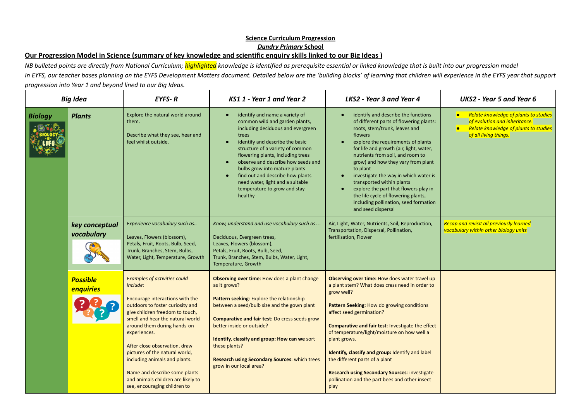# Our Progression Model in Science (summary of key knowledge and scientific enquiry skills linked to our Big Ideas)

NB bulleted points are directly from National Curriculum; highlighted knowledge is identified as prerequisite essential or linked knowledge that is built into our progression model In EYFS, our teacher bases planning on the EYFS Development Matters document. Detailed below are the 'building blocks' of learning that children will experience in the EYFS year that support *progression into Year 1 and beyond lined to our Big Ideas.*

|                | <b>Big Idea</b>                                                                                                                                                                                        | <b>EYFS-R</b>                                                                                                                                                                                                                                                                                                                                                                                                                                           | KS1 1 - Year 1 and Year 2                                                                                                                                                                                                                                                                                                                                                                                                                                   | LKS2 - Year 3 and Year 4                                                                                                                                                                                                                                                                                                                                                                                                                                                                                                                                                   | <b>UKS2</b> - Year 5 and Year 6                                                                                                              |
|----------------|--------------------------------------------------------------------------------------------------------------------------------------------------------------------------------------------------------|---------------------------------------------------------------------------------------------------------------------------------------------------------------------------------------------------------------------------------------------------------------------------------------------------------------------------------------------------------------------------------------------------------------------------------------------------------|-------------------------------------------------------------------------------------------------------------------------------------------------------------------------------------------------------------------------------------------------------------------------------------------------------------------------------------------------------------------------------------------------------------------------------------------------------------|----------------------------------------------------------------------------------------------------------------------------------------------------------------------------------------------------------------------------------------------------------------------------------------------------------------------------------------------------------------------------------------------------------------------------------------------------------------------------------------------------------------------------------------------------------------------------|----------------------------------------------------------------------------------------------------------------------------------------------|
| <b>Biology</b> | <b>Plants</b>                                                                                                                                                                                          | Explore the natural world around<br>them.<br>Describe what they see, hear and<br>feel whilst outside.                                                                                                                                                                                                                                                                                                                                                   | identify and name a variety of<br>common wild and garden plants,<br>including deciduous and evergreen<br>trees<br>identify and describe the basic<br>$\bullet$<br>structure of a variety of common<br>flowering plants, including trees<br>observe and describe how seeds and<br>$\bullet$<br>bulbs grow into mature plants<br>find out and describe how plants<br>$\bullet$<br>need water, light and a suitable<br>temperature to grow and stay<br>healthy | identify and describe the functions<br>$\bullet$<br>of different parts of flowering plants:<br>roots, stem/trunk, leaves and<br>flowers<br>explore the requirements of plants<br>$\bullet$<br>for life and growth (air, light, water,<br>nutrients from soil, and room to<br>grow) and how they vary from plant<br>to plant<br>investigate the way in which water is<br>$\bullet$<br>transported within plants<br>explore the part that flowers play in<br>$\bullet$<br>the life cycle of flowering plants,<br>including pollination, seed formation<br>and seed dispersal | • Relate knowledge of plants to studies<br>of evolution and inheritance.<br>• Relate knowledge of plants to studies<br>of all living things. |
|                | Experience vocabulary such as<br>key conceptual<br>vocabulary<br>Leaves, Flowers (blossom),<br>Petals, Fruit, Roots, Bulb, Seed,<br>Trunk, Branches, Stem, Bulbs,<br>Water, Light, Temperature, Growth | Know, understand and use vocabulary such as<br>Deciduous, Evergreen trees,<br>Leaves, Flowers (blossom),<br>Petals, Fruit, Roots, Bulb, Seed,<br>Trunk, Branches, Stem, Bulbs, Water, Light,<br>Temperature, Growth                                                                                                                                                                                                                                     | Air, Light, Water, Nutrients, Soil, Reproduction,<br>Transportation, Dispersal, Pollination,<br>fertilisation, Flower                                                                                                                                                                                                                                                                                                                                       | <b>Recap and revisit all previously learned</b><br>vocabulary within other biology units                                                                                                                                                                                                                                                                                                                                                                                                                                                                                   |                                                                                                                                              |
|                | <b>Possible</b><br>enquiries                                                                                                                                                                           | <b>Examples of activities could</b><br>include:<br>Encourage interactions with the<br>outdoors to foster curiosity and<br>give children freedom to touch,<br>smell and hear the natural world<br>around them during hands-on<br>experiences.<br>After close observation, draw<br>pictures of the natural world,<br>including animals and plants.<br>Name and describe some plants<br>and animals children are likely to<br>see, encouraging children to | Observing over time: How does a plant change<br>as it grows?<br>Pattern seeking: Explore the relationship<br>between a seed/bulb size and the gown plant<br>Comparative and fair test: Do cress seeds grow<br>better inside or outside?<br>Identify, classify and group: How can we sort<br>these plants?<br><b>Research using Secondary Sources: which trees</b><br>grow in our local area?                                                                | Observing over time: How does water travel up<br>a plant stem? What does cress need in order to<br>grow well?<br>Pattern Seeking: How do growing conditions<br>affect seed germination?<br>Comparative and fair test: Investigate the effect<br>of temperature/light/moisture on how well a<br>plant grows.<br>Identify, classify and group: Identify and label<br>the different parts of a plant<br><b>Research using Secondary Sources: investigate</b><br>pollination and the part bees and other insect<br>play                                                        |                                                                                                                                              |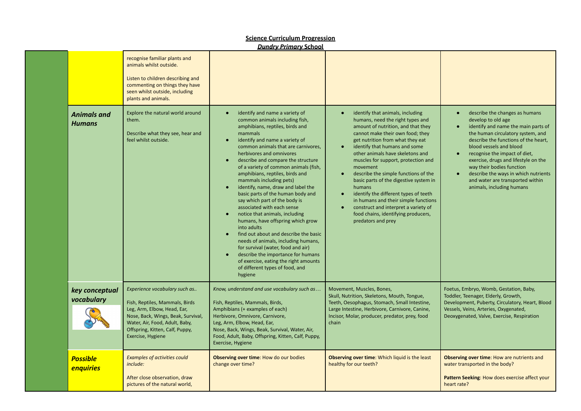|                                     |                                                                                                                                                                                                                                | <b>Dundry Primary School</b>                                                                                                                                                                                                                                                                                                                                                                                                                                                                                                                                                                                                                                                                                                                                                                                                                                                                                                                   |                                                                                                                                                                                                                                                                                                                                                                                                                                                                                                                                                                                                                                     |                                                                                                                                                                                                                                                                                                                                                                                                                                                           |
|-------------------------------------|--------------------------------------------------------------------------------------------------------------------------------------------------------------------------------------------------------------------------------|------------------------------------------------------------------------------------------------------------------------------------------------------------------------------------------------------------------------------------------------------------------------------------------------------------------------------------------------------------------------------------------------------------------------------------------------------------------------------------------------------------------------------------------------------------------------------------------------------------------------------------------------------------------------------------------------------------------------------------------------------------------------------------------------------------------------------------------------------------------------------------------------------------------------------------------------|-------------------------------------------------------------------------------------------------------------------------------------------------------------------------------------------------------------------------------------------------------------------------------------------------------------------------------------------------------------------------------------------------------------------------------------------------------------------------------------------------------------------------------------------------------------------------------------------------------------------------------------|-----------------------------------------------------------------------------------------------------------------------------------------------------------------------------------------------------------------------------------------------------------------------------------------------------------------------------------------------------------------------------------------------------------------------------------------------------------|
|                                     | recognise familiar plants and<br>animals whilst outside.<br>Listen to children describing and<br>commenting on things they have<br>seen whilst outside, including<br>plants and animals.                                       |                                                                                                                                                                                                                                                                                                                                                                                                                                                                                                                                                                                                                                                                                                                                                                                                                                                                                                                                                |                                                                                                                                                                                                                                                                                                                                                                                                                                                                                                                                                                                                                                     |                                                                                                                                                                                                                                                                                                                                                                                                                                                           |
| <b>Animals and</b><br><b>Humans</b> | Explore the natural world around<br>them.<br>Describe what they see, hear and<br>feel whilst outside.                                                                                                                          | identify and name a variety of<br>$\bullet$<br>common animals including fish,<br>amphibians, reptiles, birds and<br>mammals<br>identify and name a variety of<br>$\bullet$<br>common animals that are carnivores,<br>herbivores and omnivores<br>describe and compare the structure<br>$\bullet$<br>of a variety of common animals (fish,<br>amphibians, reptiles, birds and<br>mammals including pets)<br>identify, name, draw and label the<br>$\bullet$<br>basic parts of the human body and<br>say which part of the body is<br>associated with each sense<br>notice that animals, including<br>$\bullet$<br>humans, have offspring which grow<br>into adults<br>find out about and describe the basic<br>$\bullet$<br>needs of animals, including humans,<br>for survival (water, food and air)<br>describe the importance for humans<br>$\bullet$<br>of exercise, eating the right amounts<br>of different types of food, and<br>hygiene | identify that animals, including<br>humans, need the right types and<br>amount of nutrition, and that they<br>cannot make their own food; they<br>get nutrition from what they eat<br>identify that humans and some<br>$\bullet$<br>other animals have skeletons and<br>muscles for support, protection and<br>movement<br>describe the simple functions of the<br>basic parts of the digestive system in<br>humans<br>identify the different types of teeth<br>$\bullet$<br>in humans and their simple functions<br>construct and interpret a variety of<br>$\bullet$<br>food chains, identifying producers,<br>predators and prey | describe the changes as humans<br>$\bullet$<br>develop to old age<br>identify and name the main parts of<br>$\bullet$<br>the human circulatory system, and<br>describe the functions of the heart,<br>blood vessels and blood<br>recognise the impact of diet,<br>$\bullet$<br>exercise, drugs and lifestyle on the<br>way their bodies function<br>describe the ways in which nutrients<br>and water are transported within<br>animals, including humans |
| key conceptual<br>vocabulary        | Experience vocabulary such as<br>Fish, Reptiles, Mammals, Birds<br>Leg, Arm, Elbow, Head, Ear,<br>Nose, Back, Wings, Beak, Survival,<br>Water, Air, Food, Adult, Baby,<br>Offspring, Kitten, Calf, Puppy,<br>Exercise, Hygiene | Know, understand and use vocabulary such as<br>Fish, Reptiles, Mammals, Birds,<br>Amphibians (+ examples of each)<br>Herbivore, Omnivore, Carnivore,<br>Leg, Arm, Elbow, Head, Ear,<br>Nose, Back, Wings, Beak, Survival, Water, Air,<br>Food, Adult, Baby, Offspring, Kitten, Calf, Puppy,<br>Exercise, Hygiene                                                                                                                                                                                                                                                                                                                                                                                                                                                                                                                                                                                                                               | Movement, Muscles, Bones,<br>Skull, Nutrition, Skeletons, Mouth, Tongue,<br>Teeth, Oesophagus, Stomach, Small Intestine,<br>Large Intestine, Herbivore, Carnivore, Canine,<br>Incisor, Molar, producer, predator, prey, food<br>chain                                                                                                                                                                                                                                                                                                                                                                                               | Foetus, Embryo, Womb, Gestation, Baby,<br>Toddler, Teenager, Elderly, Growth,<br>Development, Puberty, Circulatory, Heart, Blood<br>Vessels, Veins, Arteries, Oxygenated,<br>Deoxygenated, Valve, Exercise, Respiration                                                                                                                                                                                                                                   |
| <b>Possible</b><br>enquiries        | <b>Examples of activities could</b><br>include:<br>After close observation, draw<br>pictures of the natural world,                                                                                                             | Observing over time: How do our bodies<br>change over time?                                                                                                                                                                                                                                                                                                                                                                                                                                                                                                                                                                                                                                                                                                                                                                                                                                                                                    | Observing over time: Which liquid is the least<br>healthy for our teeth?                                                                                                                                                                                                                                                                                                                                                                                                                                                                                                                                                            | Observing over time: How are nutrients and<br>water transported in the body?<br>Pattern Seeking: How does exercise affect your<br>heart rate?                                                                                                                                                                                                                                                                                                             |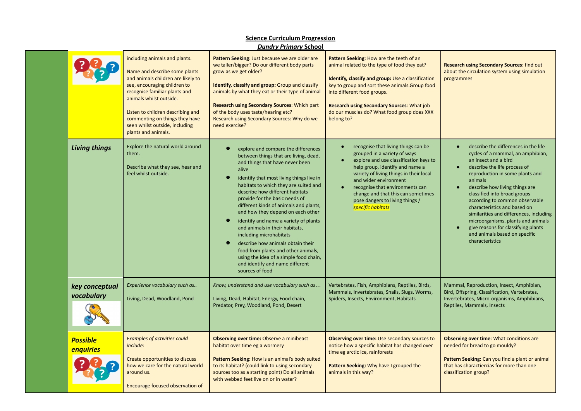|                              | including animals and plants.<br>Name and describe some plants<br>and animals children are likely to<br>see, encouraging children to<br>recognise familiar plants and<br>animals whilst outside.<br>Listen to children describing and<br>commenting on things they have<br>seen whilst outside, including<br>plants and animals. | Pattern Seeking: Just because we are older are<br>we taller/bigger? Do our different body parts<br>grow as we get older?<br>Identify, classify and group: Group and classify<br>animals by what they eat or their type of animal<br><b>Research using Secondary Sources: Which part</b><br>of the body uses taste/hearing etc?<br>Research using Secondary Sources: Why do we<br>need exercise?                                                                                                                                                                                                                                                     | Pattern Seeking: How are the teeth of an<br>animal related to the type of food they eat?<br>Identify, classify and group: Use a classification<br>key to group and sort these animals. Group food<br>into different food groups.<br><b>Research using Secondary Sources: What job</b><br>do our muscles do? What food group does XXX<br>belong to?    | <b>Research using Secondary Sources: find out</b><br>about the circulation system using simulation<br>programmes                                                                                                                                                                                                                                                                                                                                                                                |  |
|------------------------------|----------------------------------------------------------------------------------------------------------------------------------------------------------------------------------------------------------------------------------------------------------------------------------------------------------------------------------|-----------------------------------------------------------------------------------------------------------------------------------------------------------------------------------------------------------------------------------------------------------------------------------------------------------------------------------------------------------------------------------------------------------------------------------------------------------------------------------------------------------------------------------------------------------------------------------------------------------------------------------------------------|-------------------------------------------------------------------------------------------------------------------------------------------------------------------------------------------------------------------------------------------------------------------------------------------------------------------------------------------------------|-------------------------------------------------------------------------------------------------------------------------------------------------------------------------------------------------------------------------------------------------------------------------------------------------------------------------------------------------------------------------------------------------------------------------------------------------------------------------------------------------|--|
| <b>Living things</b>         | Explore the natural world around<br>them.<br>Describe what they see, hear and<br>feel whilst outside.                                                                                                                                                                                                                            | explore and compare the differences<br>between things that are living, dead,<br>and things that have never been<br>alive<br>identify that most living things live in<br>habitats to which they are suited and<br>describe how different habitats<br>provide for the basic needs of<br>different kinds of animals and plants,<br>and how they depend on each other<br>identify and name a variety of plants<br>and animals in their habitats,<br>including microhabitats<br>describe how animals obtain their<br>food from plants and other animals,<br>using the idea of a simple food chain,<br>and identify and name different<br>sources of food | recognise that living things can be<br>grouped in a variety of ways<br>explore and use classification keys to<br>help group, identify and name a<br>variety of living things in their local<br>and wider environment<br>recognise that environments can<br>change and that this can sometimes<br>pose dangers to living things /<br>specific habitats | describe the differences in the life<br>cycles of a mammal, an amphibian,<br>an insect and a bird<br>describe the life process of<br>reproduction in some plants and<br>animals<br>describe how living things are<br>classified into broad groups<br>according to common observable<br>characteristics and based on<br>similarities and differences, including<br>microorganisms, plants and animals<br>give reasons for classifying plants<br>and animals based on specific<br>characteristics |  |
| key conceptual<br>vocabulary | Experience vocabulary such as<br>Living, Dead, Woodland, Pond                                                                                                                                                                                                                                                                    | Know, understand and use vocabulary such as<br>Living, Dead, Habitat, Energy, Food chain,<br>Predator, Prey, Woodland, Pond, Desert                                                                                                                                                                                                                                                                                                                                                                                                                                                                                                                 | Vertebrates, Fish, Amphibians, Reptiles, Birds,<br>Mammals, Invertebrates, Snails, Slugs, Worms,<br>Spiders, Insects, Environment, Habitats                                                                                                                                                                                                           | Mammal, Reproduction, Insect, Amphibian,<br>Bird, Offspring, Classification, Vertebrates,<br>Invertebrates, Micro-organisms, Amphibians,<br>Reptiles, Mammals, Insects                                                                                                                                                                                                                                                                                                                          |  |
| <b>Possible</b><br>enquiries | <b>Examples of activities could</b><br>include:<br>Create opportunities to discuss<br>how we care for the natural world<br>around us.<br>Encourage focused observation of                                                                                                                                                        | <b>Observing over time: Observe a minibeast</b><br>habitat over time eg a wormery<br>Pattern Seeking: How is an animal's body suited<br>to its habitat? (could link to using secondary<br>sources too as a starting point) Do all animals<br>with webbed feet live on or in water?                                                                                                                                                                                                                                                                                                                                                                  | <b>Observing over time: Use secondary sources to</b><br>notice how a specific habitat has changed over<br>time eg arctic ice, rainforests<br>Pattern Seeking: Why have I grouped the<br>animals in this way?                                                                                                                                          | <b>Observing over time:</b> What conditions are<br>needed for bread to go mouldy?<br>Pattern Seeking: Can you find a plant or animal<br>that has charactiercias for more than one<br>classification group?                                                                                                                                                                                                                                                                                      |  |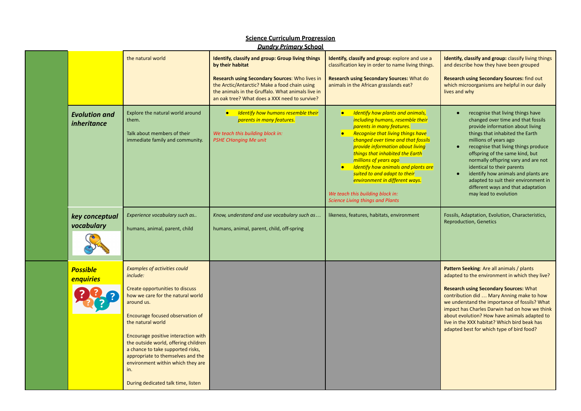| <b>Science Curriculum Progression</b><br><b>Dundry Primary School</b> |                                            |                                                                                                                                                                                                                                                                                                                                                                                                                                           |                                                                                                                                                                                                                                                                                              |                                                                                                                                                                                                                                                                                                                                                                                                                                                                                            |                                                                                                                                                                                                                                                                                                                                                                                                                                                                       |  |  |
|-----------------------------------------------------------------------|--------------------------------------------|-------------------------------------------------------------------------------------------------------------------------------------------------------------------------------------------------------------------------------------------------------------------------------------------------------------------------------------------------------------------------------------------------------------------------------------------|----------------------------------------------------------------------------------------------------------------------------------------------------------------------------------------------------------------------------------------------------------------------------------------------|--------------------------------------------------------------------------------------------------------------------------------------------------------------------------------------------------------------------------------------------------------------------------------------------------------------------------------------------------------------------------------------------------------------------------------------------------------------------------------------------|-----------------------------------------------------------------------------------------------------------------------------------------------------------------------------------------------------------------------------------------------------------------------------------------------------------------------------------------------------------------------------------------------------------------------------------------------------------------------|--|--|
|                                                                       |                                            | the natural world                                                                                                                                                                                                                                                                                                                                                                                                                         | <b>Identify, classify and group: Group living things</b><br>by their habitat<br><b>Research using Secondary Sources: Who lives in</b><br>the Arctic/Antarctic? Make a food chain using<br>the animals in the Gruffalo. What animals live in<br>an oak tree? What does a XXX need to survive? | Identify, classify and group: explore and use a<br>classification key in order to name living things.<br>Research using Secondary Sources: What do<br>animals in the African grasslands eat?                                                                                                                                                                                                                                                                                               | Identify, classify and group: classify living things<br>and describe how they have been grouped<br><b>Research using Secondary Sources: find out</b><br>which microorganisms are helpful in our daily<br>lives and why                                                                                                                                                                                                                                                |  |  |
|                                                                       | <b>Evolution and</b><br><i>inheritance</i> | Explore the natural world around<br>them.<br>Talk about members of their<br>immediate family and community.                                                                                                                                                                                                                                                                                                                               | • Identify how humans resemble their<br>parents in many features.<br>We teach this building block in:<br><b>PSHE CHanging Me unit</b>                                                                                                                                                        | • Identify how plants and animals,<br>including humans, resemble their<br>parents in many features.<br><b>Recognise that living things have</b><br>$\bullet$<br>changed over time and that fossils<br>provide information about living<br>things that inhabited the Earth<br>millions of years ago<br>Identify how animals and plants are<br>suited to and adapt to their<br>environment in different ways.<br>We teach this building block in:<br><b>Science Living things and Plants</b> | recognise that living things have<br>changed over time and that fossils<br>provide information about living<br>things that inhabited the Earth<br>millions of years ago<br>recognise that living things produce<br>offspring of the same kind, but<br>normally offspring vary and are not<br>identical to their parents<br>identify how animals and plants are<br>adapted to suit their environment in<br>different ways and that adaptation<br>may lead to evolution |  |  |
|                                                                       | key conceptual<br>vocabulary               | Experience vocabulary such as<br>humans, animal, parent, child                                                                                                                                                                                                                                                                                                                                                                            | Know, understand and use vocabulary such as<br>humans, animal, parent, child, off-spring                                                                                                                                                                                                     | likeness, features, habitats, environment                                                                                                                                                                                                                                                                                                                                                                                                                                                  | Fossils, Adaptation, Evolution, Characteristics,<br><b>Reproduction, Genetics</b>                                                                                                                                                                                                                                                                                                                                                                                     |  |  |
|                                                                       | <b>Possible</b><br>enquiries               | <b>Examples of activities could</b><br>include:<br>Create opportunities to discuss<br>how we care for the natural world<br>around us.<br>Encourage focused observation of<br>the natural world<br>Encourage positive interaction with<br>the outside world, offering children<br>a chance to take supported risks,<br>appropriate to themselves and the<br>environment within which they are<br>in.<br>During dedicated talk time, listen |                                                                                                                                                                                                                                                                                              |                                                                                                                                                                                                                                                                                                                                                                                                                                                                                            | Pattern Seeking: Are all animals / plants<br>adapted to the environment in which they live?<br><b>Research using Secondary Sources: What</b><br>contribution did  Mary Anning make to how<br>we understand the importance of fossils? What<br>impact has Charles Darwin had on how we think<br>about evolution? How have animals adapted to<br>live in the XXX habitat? Which bird beak has<br>adapted best for which type of bird food?                              |  |  |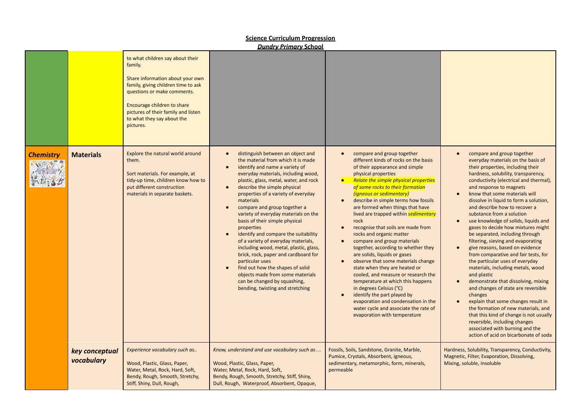|                  | <b>Dundry Primary School</b> |                                                                                                                                                                                                                                                                        |                                                                                                                                                                                                                                                                                                                                                                                                                                                                                                                                                                                                                                                                                                                                                                                                         |                                                                                                                                                                                                                                                                                                                                                                                                                                                                                                                                                                                                                                                                                                                                                                                                                                                                                                                                                                          |                                                                                                                                                                                                                                                                                                                                                                                                                                                                                                                                                                                                                                                                                                                                                                                                                                                                                                                                                                                                                                                           |  |  |  |
|------------------|------------------------------|------------------------------------------------------------------------------------------------------------------------------------------------------------------------------------------------------------------------------------------------------------------------|---------------------------------------------------------------------------------------------------------------------------------------------------------------------------------------------------------------------------------------------------------------------------------------------------------------------------------------------------------------------------------------------------------------------------------------------------------------------------------------------------------------------------------------------------------------------------------------------------------------------------------------------------------------------------------------------------------------------------------------------------------------------------------------------------------|--------------------------------------------------------------------------------------------------------------------------------------------------------------------------------------------------------------------------------------------------------------------------------------------------------------------------------------------------------------------------------------------------------------------------------------------------------------------------------------------------------------------------------------------------------------------------------------------------------------------------------------------------------------------------------------------------------------------------------------------------------------------------------------------------------------------------------------------------------------------------------------------------------------------------------------------------------------------------|-----------------------------------------------------------------------------------------------------------------------------------------------------------------------------------------------------------------------------------------------------------------------------------------------------------------------------------------------------------------------------------------------------------------------------------------------------------------------------------------------------------------------------------------------------------------------------------------------------------------------------------------------------------------------------------------------------------------------------------------------------------------------------------------------------------------------------------------------------------------------------------------------------------------------------------------------------------------------------------------------------------------------------------------------------------|--|--|--|
|                  |                              | to what children say about their<br>family.<br>Share information about your own<br>family, giving children time to ask<br>questions or make comments.<br>Encourage children to share<br>pictures of their family and listen<br>to what they say about the<br>pictures. |                                                                                                                                                                                                                                                                                                                                                                                                                                                                                                                                                                                                                                                                                                                                                                                                         |                                                                                                                                                                                                                                                                                                                                                                                                                                                                                                                                                                                                                                                                                                                                                                                                                                                                                                                                                                          |                                                                                                                                                                                                                                                                                                                                                                                                                                                                                                                                                                                                                                                                                                                                                                                                                                                                                                                                                                                                                                                           |  |  |  |
| <b>Chemistry</b> | <b>Materials</b>             | Explore the natural world around<br>them.<br>Sort materials. For example, at<br>tidy-up time, children know how to<br>put different construction<br>materials in separate baskets.                                                                                     | distinguish between an object and<br>$\bullet$<br>the material from which it is made<br>identify and name a variety of<br>$\bullet$<br>everyday materials, including wood,<br>plastic, glass, metal, water, and rock<br>describe the simple physical<br>$\bullet$<br>properties of a variety of everyday<br>materials<br>compare and group together a<br>$\bullet$<br>variety of everyday materials on the<br>basis of their simple physical<br>properties<br>identify and compare the suitability<br>$\bullet$<br>of a variety of everyday materials,<br>including wood, metal, plastic, glass,<br>brick, rock, paper and cardboard for<br>particular uses<br>find out how the shapes of solid<br>objects made from some materials<br>can be changed by squashing,<br>bending, twisting and stretching | compare and group together<br>$\bullet$<br>different kinds of rocks on the basis<br>of their appearance and simple<br>physical properties<br><b>Relate the simple physical properties</b><br>$\bullet$<br>of some rocks to their formation<br>(igneous or sedimentary)<br>describe in simple terms how fossils<br>$\bullet$<br>are formed when things that have<br>lived are trapped within sedimentary<br>rock<br>recognise that soils are made from<br>$\bullet$<br>rocks and organic matter<br>compare and group materials<br>$\bullet$<br>together, according to whether they<br>are solids, liquids or gases<br>observe that some materials change<br>$\bullet$<br>state when they are heated or<br>cooled, and measure or research the<br>temperature at which this happens<br>in degrees Celsius (°C)<br>identify the part played by<br>$\bullet$<br>evaporation and condensation in the<br>water cycle and associate the rate of<br>evaporation with temperature | compare and group together<br>everyday materials on the basis of<br>their properties, including their<br>hardness, solubility, transparency,<br>conductivity (electrical and thermal),<br>and response to magnets<br>know that some materials will<br>$\bullet$<br>dissolve in liquid to form a solution,<br>and describe how to recover a<br>substance from a solution<br>use knowledge of solids, liquids and<br>$\bullet$<br>gases to decide how mixtures might<br>be separated, including through<br>filtering, sieving and evaporating<br>give reasons, based on evidence<br>$\bullet$<br>from comparative and fair tests, for<br>the particular uses of everyday<br>materials, including metals, wood<br>and plastic<br>demonstrate that dissolving, mixing<br>and changes of state are reversible<br>changes<br>explain that some changes result in<br>the formation of new materials, and<br>that this kind of change is not usually<br>reversible, including changes<br>associated with burning and the<br>action of acid on bicarbonate of soda |  |  |  |
|                  | key conceptual<br>vocabulary | Experience vocabulary such as<br>Wood, Plastic, Glass, Paper,<br>Water, Metal, Rock, Hard, Soft,<br>Bendy, Rough, Smooth, Stretchy,<br>Stiff, Shiny, Dull, Rough,                                                                                                      | Know, understand and use vocabulary such as<br>Wood, Plastic, Glass, Paper,<br>Water, Metal, Rock, Hard, Soft,<br>Bendy, Rough, Smooth, Stretchy, Stiff, Shiny,<br>Dull, Rough, Waterproof, Absorbent, Opaque,                                                                                                                                                                                                                                                                                                                                                                                                                                                                                                                                                                                          | Fossils, Soils, Sandstone, Granite, Marble,<br>Pumice, Crystals, Absorbent, igneous,<br>sedimentary, metamorphic, form, minerals,<br>permeable                                                                                                                                                                                                                                                                                                                                                                                                                                                                                                                                                                                                                                                                                                                                                                                                                           | Hardness, Solubility, Transparency, Conductivity,<br>Magnetic, Filter, Evaporation, Dissolving,<br>Mixing, soluble, insoluble                                                                                                                                                                                                                                                                                                                                                                                                                                                                                                                                                                                                                                                                                                                                                                                                                                                                                                                             |  |  |  |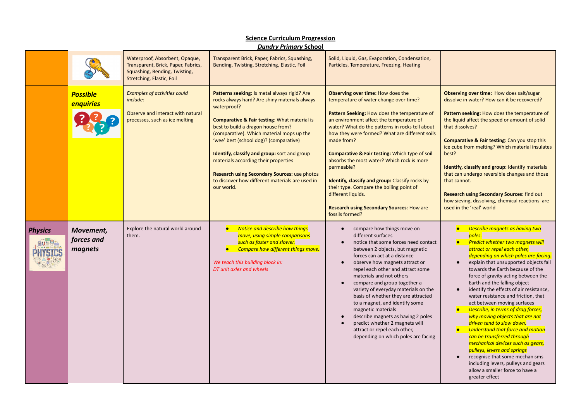#### *Dundry Primary* **School** Waterproof, Absorbent, Opaque, Transparent Brick, Paper, Fabrics, Squashing, Solid, Liquid, Gas, Evaporation, Condensation, Transparent, Brick, Paper, Fabrics, Bending, Twisting, Stretching, Elastic, Foil Particles, Temperature, Freezing, Heating Squashing, Bending, Twisting, Stretching, Elastic, Foil *Examples of activities could* **Patterns seeking:** Is metal always rigid? Are **Observing over time:** How does the **Observing over time:** How does salt/sugar *Possible* dissolve in water? How can it be recovered? *include:* rocks always hard? Are shiny materials always temperature of water change over time? *enquiries* waterproof? Observe and interact with natural **Pattern Seeking:** How does the temperature of **Pattern seeking:** How does the temperature of processes, such as ice melting **Comparative & Fair testing**: What material is an environment affect the temperature of the liquid affect the speed or amount of solid best to build a dragon house from? water? What do the patterns in rocks tell about that dissolves? how they were formed? What are different soils (comparative). Which material mops up the 'wee' best (school dog)? (comparative) made from? **Comparative & Fair testing**: Can you stop this ice cube from melting? Which material insulates **Identify, classify and group:** sort and group **Comparative & Fair testing:** Which type of soil best? materials according their properties absorbs the most water? Which rock is more permeable? **Identify, classify and group:** Identify materials **Research using Secondary Sources:** use photos that can undergo reversible changes and those to discover how different materials are used in **Identify, classify and group:** Classify rocks by that cannot. our world. their type. Compare the boiling point of different liquids. **Research using Secondary Sources:** find out how sieving, dissolving, chemical reactions are **Research using Secondary Sources**: How are used in the 'real' world fossils formed? *● Notice and describe how things* ● compare how things move on *● Describe magnets as having two* Explore the natural world around *Physics Movement,* them. *move, using simple comparisons* different surfaces *poles. forces and ● Predict whether two magnets will* **RU- LI** *such as faster and slower.* ● notice that some forces need contact *magnets ● Compare how different things move.* between 2 objects, but magnetic *attract or repel each other,* forces can act at a distance *depending on which poles are facing. We teach this building block in:* ● explain that unsupported objects fall ● observe how magnets attract or *DT unit axles and wheels* repel each other and attract some towards the Earth because of the materials and not others force of gravity acting between the ● compare and group together a Earth and the falling object variety of everyday materials on the ● identify the effects of air resistance, basis of whether they are attracted water resistance and friction, that to a magnet, and identify some act between moving surfaces magnetic materials *● Describe, in terms of drag forces,* describe magnets as having 2 poles *why moving objects that are not* predict whether 2 magnets will *driven tend to slow down.* attract or repel each other, *● Understand that force and motion* depending on which poles are facing *can be transferred through mechanical devices such as gears, pulleys, levers and springs* recognise that some mechanisms including levers, pulleys and gears allow a smaller force to have a

greater effect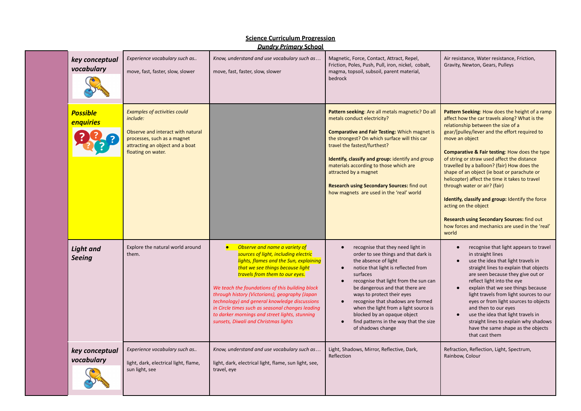| key conceptual<br>vocabulary      | Experience vocabulary such as<br>move, fast, faster, slow, slower                                                                                                            | Know, understand and use vocabulary such as<br>move, fast, faster, slow, slower                                                                                                                                                                                                                                                                                                                                                                                                                        | Magnetic, Force, Contact, Attract, Repel,<br>Friction, Poles, Push, Pull, iron, nickel, cobalt,<br>magma, topsoil, subsoil, parent material,<br>bedrock                                                                                                                                                                                                                                                                                                 | Air resistance, Water resistance, Friction,<br>Gravity, Newton, Gears, Pulleys                                                                                                                                                                                                                                                                                                                                                                                                                                                                                                                                                                                                                   |
|-----------------------------------|------------------------------------------------------------------------------------------------------------------------------------------------------------------------------|--------------------------------------------------------------------------------------------------------------------------------------------------------------------------------------------------------------------------------------------------------------------------------------------------------------------------------------------------------------------------------------------------------------------------------------------------------------------------------------------------------|---------------------------------------------------------------------------------------------------------------------------------------------------------------------------------------------------------------------------------------------------------------------------------------------------------------------------------------------------------------------------------------------------------------------------------------------------------|--------------------------------------------------------------------------------------------------------------------------------------------------------------------------------------------------------------------------------------------------------------------------------------------------------------------------------------------------------------------------------------------------------------------------------------------------------------------------------------------------------------------------------------------------------------------------------------------------------------------------------------------------------------------------------------------------|
| <b>Possible</b><br>enquiries      | <b>Examples of activities could</b><br>include:<br>Observe and interact with natural<br>processes, such as a magnet<br>attracting an object and a boat<br>floating on water. |                                                                                                                                                                                                                                                                                                                                                                                                                                                                                                        | Pattern seeking: Are all metals magnetic? Do all<br>metals conduct electricity?<br><b>Comparative and Fair Testing: Which magnet is</b><br>the strongest? On which surface will this car<br>travel the fastest/furthest?<br>Identify, classify and group: identify and group<br>materials according to those which are<br>attracted by a magnet<br><b>Research using Secondary Sources: find out</b><br>how magnets are used in the 'real' world        | Pattern Seeking: How does the height of a ramp<br>affect how the car travels along? What is the<br>relationship between the size of a<br>gear/[pulley/lever and the effort required to<br>move an object<br><b>Comparative &amp; Fair testing: How does the type</b><br>of string or straw used affect the distance<br>travelled by a balloon? (fair) How does the<br>shape of an object (ie boat or parachute or<br>helicopter) affect the time it takes to travel<br>through water or air? (fair)<br>Identify, classify and group: Identify the force<br>acting on the object<br><b>Research using Secondary Sources: find out</b><br>how forces and mechanics are used in the 'real'<br>world |
| <b>Light and</b><br><b>Seeing</b> | Explore the natural world around<br>them.                                                                                                                                    | Observe and name a variety of<br>$\bullet$<br>sources of light, including electric<br>lights, flames and the Sun, explaining<br>that we see things because light<br>travels from them to our eyes.<br>We teach the foundations of this building block<br>through history (Victorians), geography (Japan<br>technology) and general knowledge discussions<br>in Circle times such as seasonal changes leading<br>to darker mornings and street lights, stunning<br>sunsets, Diwali and Christmas lights | recognise that they need light in<br>order to see things and that dark is<br>the absence of light<br>notice that light is reflected from<br>$\bullet$<br>surfaces<br>recognise that light from the sun can<br>be dangerous and that there are<br>ways to protect their eyes<br>recognise that shadows are formed<br>when the light from a light source is<br>blocked by an opaque object<br>find patterns in the way that the size<br>of shadows change | recognise that light appears to travel<br>$\bullet$<br>in straight lines<br>use the idea that light travels in<br>straight lines to explain that objects<br>are seen because they give out or<br>reflect light into the eye<br>explain that we see things because<br>$\bullet$<br>light travels from light sources to our<br>eyes or from light sources to objects<br>and then to our eyes<br>use the idea that light travels in<br>$\bullet$<br>straight lines to explain why shadows<br>have the same shape as the objects<br>that cast them                                                                                                                                                   |
| key conceptual<br>vocabulary      | Experience vocabulary such as<br>light, dark, electrical light, flame,<br>sun light, see                                                                                     | Know, understand and use vocabulary such as<br>light, dark, electrical light, flame, sun light, see,<br>travel, eye                                                                                                                                                                                                                                                                                                                                                                                    | Light, Shadows, Mirror, Reflective, Dark,<br>Reflection                                                                                                                                                                                                                                                                                                                                                                                                 | Refraction, Reflection, Light, Spectrum,<br>Rainbow, Colour                                                                                                                                                                                                                                                                                                                                                                                                                                                                                                                                                                                                                                      |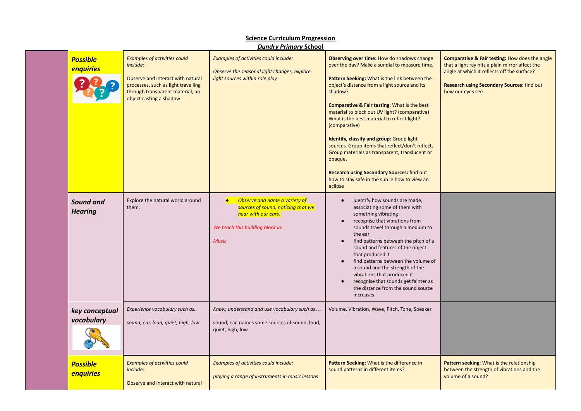| <b>Possible</b><br>enquiries       | Examples of activities could<br>include:<br>Observe and interact with natural<br>processes, such as light travelling<br>through transparent material, an<br>object casting a shadow | Examples of activities could include:<br>Observe the seasonal light changes, explore<br>light sources within role play                                      | Observing over time: How do shadows change<br>over the day? Make a sundial to measure time.<br>Pattern Seeking: What is the link between the<br>object's distance from a light source and its<br>shadow?<br><b>Comparative &amp; Fair testing: What is the best</b><br>material to block out UV light? (comparative)<br>What is the best material to reflect light?<br>(comparative)<br>Identify, classify and group: Group light<br>sources. Group items that reflect/don't reflect.<br>Group materials as transparent, translucent or<br>opaque.<br><b>Research using Secondary Sources: find out</b><br>how to stay safe in the sun ie how to view an<br>eclipse | Comparative & Fair testing: How does the angle<br>that a light ray hits a plain mirror affect the<br>angle at which it reflects off the surface?<br><b>Research using Secondary Sources: find out</b><br>how our eyes see |
|------------------------------------|-------------------------------------------------------------------------------------------------------------------------------------------------------------------------------------|-------------------------------------------------------------------------------------------------------------------------------------------------------------|---------------------------------------------------------------------------------------------------------------------------------------------------------------------------------------------------------------------------------------------------------------------------------------------------------------------------------------------------------------------------------------------------------------------------------------------------------------------------------------------------------------------------------------------------------------------------------------------------------------------------------------------------------------------|---------------------------------------------------------------------------------------------------------------------------------------------------------------------------------------------------------------------------|
| <b>Sound and</b><br><b>Hearing</b> | Explore the natural world around<br>them.                                                                                                                                           | Observe and name a variety of<br>$\bullet$<br>sources of sound, noticing that we<br>hear with our ears.<br>We teach this building block in:<br><b>Music</b> | identify how sounds are made,<br>$\bullet$<br>associating some of them with<br>something vibrating<br>recognise that vibrations from<br>sounds travel through a medium to<br>the ear<br>find patterns between the pitch of a<br>sound and features of the object<br>that produced it<br>find patterns between the volume of<br>a sound and the strength of the<br>vibrations that produced it<br>recognise that sounds get fainter as<br>the distance from the sound source<br>increases                                                                                                                                                                            |                                                                                                                                                                                                                           |
| key conceptual<br>vocabulary       | Experience vocabulary such as<br>sound, ear, loud, quiet, high, low                                                                                                                 | Know, understand and use vocabulary such as<br>sound, ear, names some sources of sound, loud,<br>quiet, high, low                                           | Volume, Vibration, Wave, Pitch, Tone, Speaker                                                                                                                                                                                                                                                                                                                                                                                                                                                                                                                                                                                                                       |                                                                                                                                                                                                                           |
| <b>Possible</b><br>enquiries       | Examples of activities could<br>include:<br>Observe and interact with natural                                                                                                       | Examples of activities could include:<br>playing a range of instruments in music lessons                                                                    | Pattern Seeking: What is the difference in<br>sound patterns in different items?                                                                                                                                                                                                                                                                                                                                                                                                                                                                                                                                                                                    | Pattern seeking: What is the relationship<br>between the strength of vibrations and the<br>volume of a sound?                                                                                                             |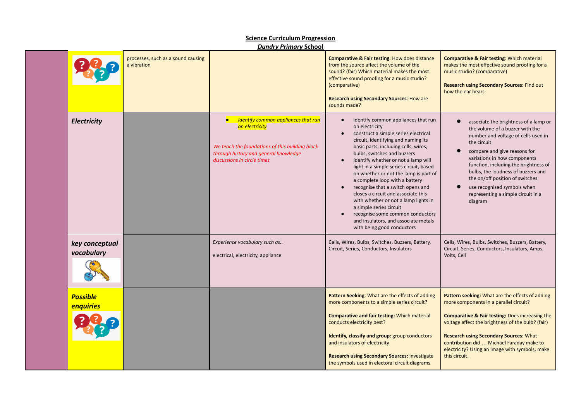|                              |                                                   | <u> Dunary Primary School</u>                                                                                                                                                           |                                                                                                                                                                                                                                                                                                                                                                                                                                                                                                                                                                                                                                                             |                                                                                                                                                                                                                                                                                                                                                                                                               |
|------------------------------|---------------------------------------------------|-----------------------------------------------------------------------------------------------------------------------------------------------------------------------------------------|-------------------------------------------------------------------------------------------------------------------------------------------------------------------------------------------------------------------------------------------------------------------------------------------------------------------------------------------------------------------------------------------------------------------------------------------------------------------------------------------------------------------------------------------------------------------------------------------------------------------------------------------------------------|---------------------------------------------------------------------------------------------------------------------------------------------------------------------------------------------------------------------------------------------------------------------------------------------------------------------------------------------------------------------------------------------------------------|
|                              | processes, such as a sound causing<br>a vibration |                                                                                                                                                                                         | <b>Comparative &amp; Fair testing: How does distance</b><br>from the source affect the volume of the<br>sound? (fair) Which material makes the most<br>effective sound proofing for a music studio?<br>(comparative)<br><b>Research using Secondary Sources: How are</b><br>sounds made?                                                                                                                                                                                                                                                                                                                                                                    | <b>Comparative &amp; Fair testing: Which material</b><br>makes the most effective sound proofing for a<br>music studio? (comparative)<br><b>Research using Secondary Sources: Find out</b><br>how the ear hears                                                                                                                                                                                               |
| Electricity                  |                                                   | <b>Identify common appliances that run</b><br>on electricity<br>We teach the foundations of this building block<br>through history and general knowledge<br>discussions in circle times | identify common appliances that run<br>$\bullet$<br>on electricity<br>construct a simple series electrical<br>circuit, identifying and naming its<br>basic parts, including cells, wires,<br>bulbs, switches and buzzers<br>identify whether or not a lamp will<br>light in a simple series circuit, based<br>on whether or not the lamp is part of<br>a complete loop with a battery<br>recognise that a switch opens and<br>$\bullet$<br>closes a circuit and associate this<br>with whether or not a lamp lights in<br>a simple series circuit<br>recognise some common conductors<br>and insulators, and associate metals<br>with being good conductors | associate the brightness of a lamp or<br>$\bullet$<br>the volume of a buzzer with the<br>number and voltage of cells used in<br>the circuit<br>compare and give reasons for<br>variations in how components<br>function, including the brightness of<br>bulbs, the loudness of buzzers and<br>the on/off position of switches<br>use recognised symbols when<br>representing a simple circuit in a<br>diagram |
| key conceptual<br>vocabulary |                                                   | Experience vocabulary such as<br>electrical, electricity, appliance                                                                                                                     | Cells, Wires, Bulbs, Switches, Buzzers, Battery,<br>Circuit, Series, Conductors, Insulators                                                                                                                                                                                                                                                                                                                                                                                                                                                                                                                                                                 | Cells, Wires, Bulbs, Switches, Buzzers, Battery,<br>Circuit, Series, Conductors, Insulators, Amps,<br>Volts, Cell                                                                                                                                                                                                                                                                                             |
| <b>Possible</b><br>enquiries |                                                   |                                                                                                                                                                                         | Pattern Seeking: What are the effects of adding<br>more components to a simple series circuit?<br><b>Comparative and fair testing: Which material</b><br>conducts electricity best?<br>Identify, classify and group: group conductors<br>and insulators of electricity<br><b>Research using Secondary Sources: investigate</b><br>the symbols used in electoral circuit diagrams                                                                                                                                                                                                                                                                            | Pattern seeking: What are the effects of adding<br>more components in a parallel circuit?<br><b>Comparative &amp; Fair testing: Does increasing the</b><br>voltage affect the brightness of the bulb? (fair)<br><b>Research using Secondary Sources: What</b><br>contribution did  Michael Faraday make to<br>electricity? Using an image with symbols, make<br>this circuit.                                 |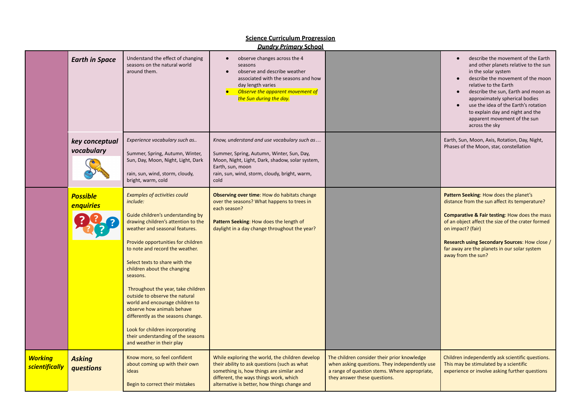|                                         |                              |                                                                                                                                                                                                                                                                                                                                                                                                                                                                                                                                                                                                          | <b>Dundry Primary School</b>                                                                                                                                                                                                          |                                                                                                                                                                               |                                                                                                                                                                                                                                                                                                                                                                                      |
|-----------------------------------------|------------------------------|----------------------------------------------------------------------------------------------------------------------------------------------------------------------------------------------------------------------------------------------------------------------------------------------------------------------------------------------------------------------------------------------------------------------------------------------------------------------------------------------------------------------------------------------------------------------------------------------------------|---------------------------------------------------------------------------------------------------------------------------------------------------------------------------------------------------------------------------------------|-------------------------------------------------------------------------------------------------------------------------------------------------------------------------------|--------------------------------------------------------------------------------------------------------------------------------------------------------------------------------------------------------------------------------------------------------------------------------------------------------------------------------------------------------------------------------------|
|                                         | <b>Earth in Space</b>        | Understand the effect of changing<br>seasons on the natural world<br>around them.                                                                                                                                                                                                                                                                                                                                                                                                                                                                                                                        | observe changes across the 4<br>$\bullet$<br>seasons<br>observe and describe weather<br>$\bullet$<br>associated with the seasons and how<br>day length varies<br>Observe the apparent movement of<br>the Sun during the day.          |                                                                                                                                                                               | describe the movement of the Earth<br>and other planets relative to the sun<br>in the solar system<br>describe the movement of the moon<br>$\bullet$<br>relative to the Earth<br>describe the sun, Earth and moon as<br>approximately spherical bodies<br>use the idea of the Earth's rotation<br>to explain day and night and the<br>apparent movement of the sun<br>across the sky |
|                                         | key conceptual<br>vocabulary | Experience vocabulary such as<br>Summer, Spring, Autumn, Winter,<br>Sun, Day, Moon, Night, Light, Dark<br>rain, sun, wind, storm, cloudy,<br>bright, warm, cold                                                                                                                                                                                                                                                                                                                                                                                                                                          | Know, understand and use vocabulary such as<br>Summer, Spring, Autumn, Winter, Sun, Day,<br>Moon, Night, Light, Dark, shadow, solar system,<br>Earth, sun, moon<br>rain, sun, wind, storm, cloudy, bright, warm,<br>cold              |                                                                                                                                                                               | Earth, Sun, Moon, Axis, Rotation, Day, Night,<br>Phases of the Moon, star, constellation                                                                                                                                                                                                                                                                                             |
|                                         | <b>Possible</b><br>enquiries | <b>Examples of activities could</b><br>include:<br>Guide children's understanding by<br>drawing children's attention to the<br>weather and seasonal features.<br>Provide opportunities for children<br>to note and record the weather.<br>Select texts to share with the<br>children about the changing<br>seasons.<br>Throughout the year, take children<br>outside to observe the natural<br>world and encourage children to<br>observe how animals behave<br>differently as the seasons change.<br>Look for children incorporating<br>their understanding of the seasons<br>and weather in their play | Observing over time: How do habitats change<br>over the seasons? What happens to trees in<br>each season?<br>Pattern Seeking: How does the length of<br>daylight in a day change throughout the year?                                 |                                                                                                                                                                               | Pattern Seeking: How does the planet's<br>distance from the sun affect its temperature?<br><b>Comparative &amp; Fair testing: How does the mass</b><br>of an object affect the size of the crater formed<br>on impact? (fair)<br><b>Research using Secondary Sources: How close /</b><br>far away are the planets in our solar system<br>away from the sun?                          |
| <b>Working</b><br><b>scientifically</b> | <b>Asking</b><br>questions   | Know more, so feel confident<br>about coming up with their own<br>ideas<br>Begin to correct their mistakes                                                                                                                                                                                                                                                                                                                                                                                                                                                                                               | While exploring the world, the children develop<br>their ability to ask questions (such as what<br>something is, how things are similar and<br>different, the ways things work, which<br>alternative is better, how things change and | The children consider their prior knowledge<br>when asking questions. They independently use<br>a range of question stems. Where appropriate,<br>they answer these questions. | Children independently ask scientific questions.<br>This may be stimulated by a scientific<br>experience or involve asking further questions                                                                                                                                                                                                                                         |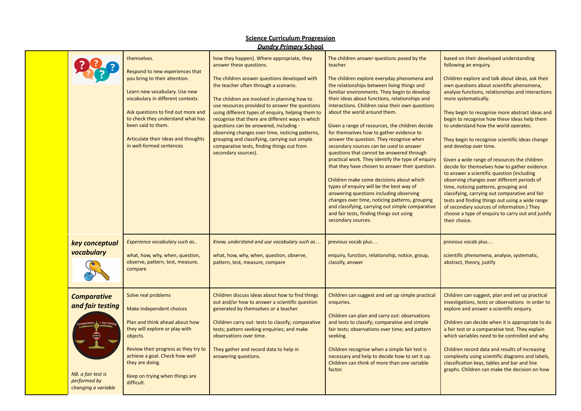|                                                                                                     | themselves.<br>Respond to new experiences that<br>you bring to their attention.<br>Learn new vocabulary. Use new<br>vocabulary in different contexts.<br>Ask questions to find out more and<br>to check they understand what has<br>been said to them.<br>Articulate their ideas and thoughts<br>in well-formed sentences | how they happen). Where appropriate, they<br>answer these questions.<br>The children answer questions developed with<br>the teacher often through a scenario.<br>The children are involved in planning how to<br>use resources provided to answer the questions<br>using different types of enquiry, helping them to<br>recognise that there are different ways in which<br>questions can be answered, including -<br>observing changes over time, noticing patterns,<br>grouping and classifying, carrying out simple<br>comparative tests, finding things out from<br>secondary sources). | The children answer questions posed by the<br>teacher.<br>The children explore everyday phenomena and<br>the relationships between living things and<br>familiar environments. They begin to develop<br>their ideas about functions, relationships and<br>interactions. Children raise their own questions<br>about the world around them.<br>Given a range of resources, the children decide<br>for themselves how to gather evidence to<br>answer the question. They recognise when<br>secondary sources can be used to answer<br>questions that cannot be answered through<br>practical work. They identify the type of enquiry<br>that they have chosen to answer their question.<br>Children make some decisions about which<br>types of enquiry will be the best way of<br>answering questions including observing<br>changes over time, noticing patterns, grouping<br>and classifying, carrying out simple comparative<br>and fair tests, finding things out using<br>secondary sources. | based on their developed understanding<br>following an enquiry.<br>Children explore and talk about ideas, ask their<br>own questions about scientific phenomena,<br>analyse functions, relationships and interactions<br>more systematically.<br>They begin to recognise more abstract ideas and<br>begin to recognise how these ideas help them<br>to understand how the world operates.<br>They begin to recognise scientific ideas change<br>and develop over time.<br>Given a wide range of resources the children<br>decide for themselves how to gather evidence<br>to answer a scientific question (including<br>observing changes over different periods of<br>time, noticing patterns, grouping and<br>classifying, carrying out comparative and fair<br>tests and finding things out using a wide range<br>of secondary sources of information.) They<br>choose a type of enquiry to carry out and justify<br>their choice. |
|-----------------------------------------------------------------------------------------------------|---------------------------------------------------------------------------------------------------------------------------------------------------------------------------------------------------------------------------------------------------------------------------------------------------------------------------|---------------------------------------------------------------------------------------------------------------------------------------------------------------------------------------------------------------------------------------------------------------------------------------------------------------------------------------------------------------------------------------------------------------------------------------------------------------------------------------------------------------------------------------------------------------------------------------------|--------------------------------------------------------------------------------------------------------------------------------------------------------------------------------------------------------------------------------------------------------------------------------------------------------------------------------------------------------------------------------------------------------------------------------------------------------------------------------------------------------------------------------------------------------------------------------------------------------------------------------------------------------------------------------------------------------------------------------------------------------------------------------------------------------------------------------------------------------------------------------------------------------------------------------------------------------------------------------------------------|---------------------------------------------------------------------------------------------------------------------------------------------------------------------------------------------------------------------------------------------------------------------------------------------------------------------------------------------------------------------------------------------------------------------------------------------------------------------------------------------------------------------------------------------------------------------------------------------------------------------------------------------------------------------------------------------------------------------------------------------------------------------------------------------------------------------------------------------------------------------------------------------------------------------------------------|
| key conceptual<br>vocabulary                                                                        | Experience vocabulary such as<br>what, how, why, when, question,<br>observe, pattern, test, measure,<br>compare                                                                                                                                                                                                           | Know, understand and use vocabulary such as<br>what, how, why, when, question, observe,<br>pattern, test, measure, compare                                                                                                                                                                                                                                                                                                                                                                                                                                                                  | previous vocab plus<br>enquiry, function, relationship, notice, group,<br>classify, answer                                                                                                                                                                                                                                                                                                                                                                                                                                                                                                                                                                                                                                                                                                                                                                                                                                                                                                       | previous vocab plus<br>scientific phenomena, analyse, systematic,<br>abstract, theory, justify                                                                                                                                                                                                                                                                                                                                                                                                                                                                                                                                                                                                                                                                                                                                                                                                                                        |
| <b>Comparative</b><br>and fair testing<br>NB. a fair test is<br>performed by<br>changing a variable | Solve real problems<br>Make independent choices<br>Plan and think ahead about how<br>they will explore or play with<br>objects.<br>Review their progress as they try to<br>achieve a goal. Check how well<br>they are doing.<br>Keep on trying when things are<br>difficult.                                              | Children discuss ideas about how to find things<br>out and/or how to answer a scientific question<br>generated by themselves or a teacher.<br>Children carry out: tests to classify; comparative<br>tests; pattern seeking enquiries; and make<br>observations over time.<br>They gather and record data to help in<br>answering questions.                                                                                                                                                                                                                                                 | Children can suggest and set up simple practical<br>enquiries.<br>Children can plan and carry out: observations<br>and tests to classify; comparative and simple<br>fair tests; observations over time; and pattern<br>seeking.<br>Children recognise when a simple fair test is<br>necessary and help to decide how to set it up.<br>Children can think of more than one variable<br>factor.                                                                                                                                                                                                                                                                                                                                                                                                                                                                                                                                                                                                    | Children can suggest, plan and set up practical<br>investigations, tests or observations in order to<br>explore and answer a scientific enquiry.<br>Children can decide when it is appropriate to do<br>a fair test or a comparative test. They explain<br>which variables need to be controlled and why.<br>Children record data and results of increasing<br>complexity using scientific diagrams and labels,<br>classification keys, tables and bar and line<br>graphs. Children can make the decision on how                                                                                                                                                                                                                                                                                                                                                                                                                      |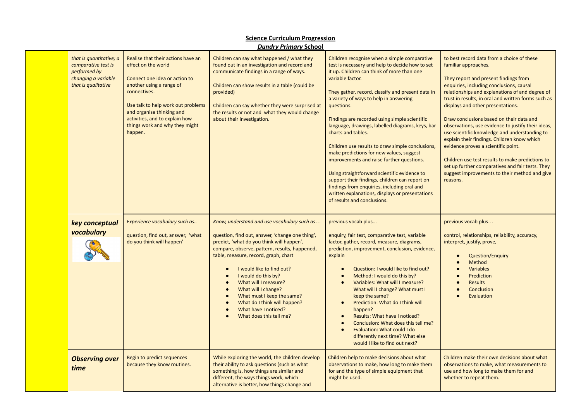|                                                                                                              |                                                                                                                                                                                                                                                                                          | <u> Dundry Primary School</u>                                                                                                                                                                                                                                                                                                                                                                                                                                                                                |                                                                                                                                                                                                                                                                                                                                                                                                                                                                                                                                                                                                                                                                                                                                                                                           |                                                                                                                                                                                                                                                                                                                                                                                                                                                                                                                                                                                                                                                                                                                      |
|--------------------------------------------------------------------------------------------------------------|------------------------------------------------------------------------------------------------------------------------------------------------------------------------------------------------------------------------------------------------------------------------------------------|--------------------------------------------------------------------------------------------------------------------------------------------------------------------------------------------------------------------------------------------------------------------------------------------------------------------------------------------------------------------------------------------------------------------------------------------------------------------------------------------------------------|-------------------------------------------------------------------------------------------------------------------------------------------------------------------------------------------------------------------------------------------------------------------------------------------------------------------------------------------------------------------------------------------------------------------------------------------------------------------------------------------------------------------------------------------------------------------------------------------------------------------------------------------------------------------------------------------------------------------------------------------------------------------------------------------|----------------------------------------------------------------------------------------------------------------------------------------------------------------------------------------------------------------------------------------------------------------------------------------------------------------------------------------------------------------------------------------------------------------------------------------------------------------------------------------------------------------------------------------------------------------------------------------------------------------------------------------------------------------------------------------------------------------------|
| that is quantitative; a<br>comparative test is<br>performed by<br>changing a variable<br>that is qualitative | Realise that their actions have an<br>effect on the world<br>Connect one idea or action to<br>another using a range of<br>connectives.<br>Use talk to help work out problems<br>and organise thinking and<br>activities, and to explain how<br>things work and why they might<br>happen. | Children can say what happened / what they<br>found out in an investigation and record and<br>communicate findings in a range of ways.<br>Children can show results in a table (could be<br>provided)<br>Children can say whether they were surprised at<br>the results or not and what they would change<br>about their investigation.                                                                                                                                                                      | Children recognise when a simple comparative<br>test is necessary and help to decide how to set<br>it up. Children can think of more than one<br>variable factor.<br>They gather, record, classify and present data in<br>a variety of ways to help in answering<br>questions.<br>Findings are recorded using simple scientific<br>language, drawings, labelled diagrams, keys, bar<br>charts and tables.<br>Children use results to draw simple conclusions,<br>make predictions for new values, suggest<br>improvements and raise further questions.<br>Using straightforward scientific evidence to<br>support their findings, children can report on<br>findings from enquiries, including oral and<br>written explanations, displays or presentations<br>of results and conclusions. | to best record data from a choice of these<br>familiar approaches.<br>They report and present findings from<br>enquiries, including conclusions, causal<br>relationships and explanations of and degree of<br>trust in results, in oral and written forms such as<br>displays and other presentations.<br>Draw conclusions based on their data and<br>observations, use evidence to justify their ideas,<br>use scientific knowledge and understanding to<br>explain their findings. Children know which<br>evidence proves a scientific point.<br>Children use test results to make predictions to<br>set up further comparatives and fair tests. They<br>suggest improvements to their method and give<br>reasons. |
| key conceptual<br>vocabulary                                                                                 | Experience vocabulary such as<br>question, find out, answer, 'what<br>do you think will happen'                                                                                                                                                                                          | Know, understand and use vocabulary such as<br>question, find out, answer, 'change one thing',<br>predict, 'what do you think will happen',<br>compare, observe, pattern, results, happened,<br>table, measure, record, graph, chart<br>I would like to find out?<br>$\bullet$<br>I would do this by?<br>$\bullet$<br>What will I measure?<br>$\bullet$<br>What will I change?<br>$\bullet$<br>What must I keep the same?<br>What do I think will happen?<br>What have I noticed?<br>What does this tell me? | previous vocab plus<br>enquiry, fair test, comparative test, variable<br>factor, gather, record, measure, diagrams,<br>prediction, improvement, conclusion, evidence,<br>explain<br>Question: I would like to find out?<br>Method: I would do this by?<br>Variables: What will I measure?<br>What will I change? What must I<br>keep the same?<br>Prediction: What do I think will<br>$\bullet$<br>happen?<br>Results: What have I noticed?<br>Conclusion: What does this tell me?<br>Evaluation: What could I do<br>differently next time? What else<br>would I like to find out next?                                                                                                                                                                                                   | previous vocab plus<br>control, relationships, reliability, accuracy,<br>interpret, justify, prove,<br><b>Question/Enguiry</b><br>Method<br>$\bullet$<br>Variables<br>$\bullet$<br>Prediction<br>$\bullet$<br>Results<br>$\bullet$<br>Conclusion<br>$\bullet$<br>Evaluation                                                                                                                                                                                                                                                                                                                                                                                                                                          |
| <b>Observing over</b><br>time                                                                                | Begin to predict sequences<br>because they know routines.                                                                                                                                                                                                                                | While exploring the world, the children develop<br>their ability to ask questions (such as what<br>something is, how things are similar and<br>different, the ways things work, which<br>alternative is better, how things change and                                                                                                                                                                                                                                                                        | Children help to make decisions about what<br>observations to make, how long to make them<br>for and the type of simple equipment that<br>might be used.                                                                                                                                                                                                                                                                                                                                                                                                                                                                                                                                                                                                                                  | Children make their own decisions about what<br>observations to make, what measurements to<br>use and how long to make them for and<br>whether to repeat them.                                                                                                                                                                                                                                                                                                                                                                                                                                                                                                                                                       |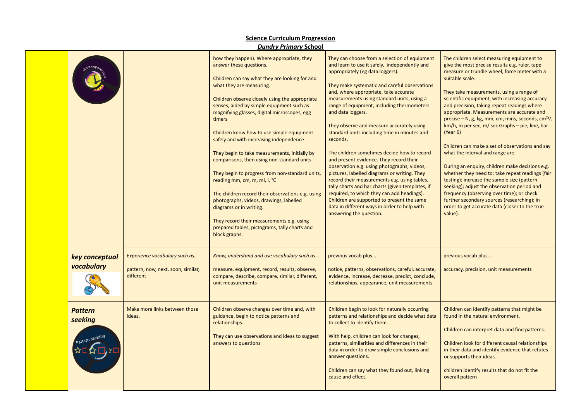|                              |                                                                                  | <b>Dundry Primary School</b>                                                                                                                                                                                                                                                                                                                                                                                                                                                                                                                                                                                                                                                                                                                                                                                                     |                                                                                                                                                                                                                                                                                                                                                                                                                                                                                                                                                                                                                                                                                                                                                                                                                                                                                                                            |                                                                                                                                                                                                                                                                                                                                                                                                                                                                                                                                                                                                                                                                                                                                                                                                                                                                                                                                                    |
|------------------------------|----------------------------------------------------------------------------------|----------------------------------------------------------------------------------------------------------------------------------------------------------------------------------------------------------------------------------------------------------------------------------------------------------------------------------------------------------------------------------------------------------------------------------------------------------------------------------------------------------------------------------------------------------------------------------------------------------------------------------------------------------------------------------------------------------------------------------------------------------------------------------------------------------------------------------|----------------------------------------------------------------------------------------------------------------------------------------------------------------------------------------------------------------------------------------------------------------------------------------------------------------------------------------------------------------------------------------------------------------------------------------------------------------------------------------------------------------------------------------------------------------------------------------------------------------------------------------------------------------------------------------------------------------------------------------------------------------------------------------------------------------------------------------------------------------------------------------------------------------------------|----------------------------------------------------------------------------------------------------------------------------------------------------------------------------------------------------------------------------------------------------------------------------------------------------------------------------------------------------------------------------------------------------------------------------------------------------------------------------------------------------------------------------------------------------------------------------------------------------------------------------------------------------------------------------------------------------------------------------------------------------------------------------------------------------------------------------------------------------------------------------------------------------------------------------------------------------|
|                              |                                                                                  | how they happen). Where appropriate, they<br>answer these questions.<br>Children can say what they are looking for and<br>what they are measuring.<br>Children observe closely using the appropriate<br>senses, aided by simple equipment such as<br>magnifying glasses, digital microscopes, egg<br>timers<br>Children know how to use simple equipment<br>safely and with increasing independence<br>They begin to take measurements, initially by<br>comparisons, then using non-standard units.<br>They begin to progress from non-standard units,<br>reading mm, cm, m, ml, l, °C<br>The children record their observations e.g. using<br>photographs, videos, drawings, labelled<br>diagrams or in writing.<br>They record their measurements e.g. using<br>prepared tables, pictograms, tally charts and<br>block graphs. | They can choose from a selection of equipment<br>and learn to use it safely, independently and<br>appropriately (eg data loggers).<br>They make systematic and careful observations<br>and, where appropriate, take accurate<br>measurements using standard units, using a<br>range of equipment, including thermometers<br>and data loggers.<br>They observe and measure accurately using<br>standard units including time in minutes and<br>seconds.<br>The children sometimes decide how to record<br>and present evidence. They record their<br>observation e.g. using photographs, videos,<br>pictures, labelled diagrams or writing. They<br>record their measurements e.g. using tables,<br>tally charts and bar charts (given templates, if<br>required, to which they can add headings).<br>Children are supported to present the same<br>data in different ways in order to help with<br>answering the question. | The children select measuring equipment to<br>give the most precise results e.g. ruler, tape<br>measure or trundle wheel, force meter with a<br>suitable scale.<br>They take measurements, using a range of<br>scientific equipment, with increasing accuracy<br>and precision, taking repeat readings where<br>appropriate. Measurements are accurate and<br>precise – N, g, kg, mm, cm, mins, seconds, cm <sup>2</sup> V,<br>$km/h$ , m per sec, m/ sec Graphs – pie, line, bar<br>(Year 6)<br>Children can make a set of observations and say<br>what the interval and range are.<br>During an enquiry, children make decisions e.g.<br>whether they need to: take repeat readings (fair<br>testing); increase the sample size (pattern<br>seeking); adjust the observation period and<br>frequency (observing over time); or check<br>further secondary sources (researching); in<br>order to get accurate data (closer to the true<br>value). |
| key conceptual<br>vocabulary | Experience vocabulary such as<br>pattern, now, next, soon, similar,<br>different | Know, understand and use vocabulary such as<br>measure, equipment, record, results, observe,<br>compare, describe, compare, similar, different,<br>unit measurements                                                                                                                                                                                                                                                                                                                                                                                                                                                                                                                                                                                                                                                             | previous vocab plus<br>notice, patterns, observations, careful, accurate,<br>evidence, increase, decrease, predict, conclude,<br>relationships, appearance, unit measurements                                                                                                                                                                                                                                                                                                                                                                                                                                                                                                                                                                                                                                                                                                                                              | previous vocab plus<br>accuracy, precision, unit measurements                                                                                                                                                                                                                                                                                                                                                                                                                                                                                                                                                                                                                                                                                                                                                                                                                                                                                      |
| <b>Pattern</b><br>seeking    | Make more links between those<br>ideas.                                          | Children observe changes over time and, with<br>guidance, begin to notice patterns and<br>relationships.<br>They can use observations and ideas to suggest<br>answers to questions                                                                                                                                                                                                                                                                                                                                                                                                                                                                                                                                                                                                                                               | Children begin to look for naturally occurring<br>patterns and relationships and decide what data<br>to collect to identify them.<br>With help, children can look for changes,<br>patterns, similarities and differences in their<br>data in order to draw simple conclusions and<br>answer questions.<br>Children can say what they found out, linking<br>cause and effect.                                                                                                                                                                                                                                                                                                                                                                                                                                                                                                                                               | Children can identify patterns that might be<br>found in the natural environment.<br>Children can interpret data and find patterns.<br>Children look for different causal relationships<br>in their data and identify evidence that refutes<br>or supports their ideas.<br>children identify results that do not fit the<br>overall pattern                                                                                                                                                                                                                                                                                                                                                                                                                                                                                                                                                                                                        |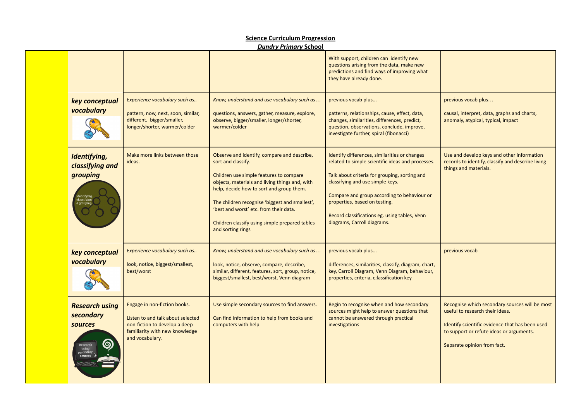|                                                                              |                                                                                                                                                         | <u> 2011 - 1111 - 1111 - 1111 - 1111 - 1111 - 1111 - 1111 - 1111 - 1111 - 1111 - 1111 - 1111 - 1111 - 1111 - 111</u>                                                                                                                                                                                                                                                          |                                                                                                                                                                                                                                                                                                                                                         |                                                                                                                                                                                                                 |
|------------------------------------------------------------------------------|---------------------------------------------------------------------------------------------------------------------------------------------------------|-------------------------------------------------------------------------------------------------------------------------------------------------------------------------------------------------------------------------------------------------------------------------------------------------------------------------------------------------------------------------------|---------------------------------------------------------------------------------------------------------------------------------------------------------------------------------------------------------------------------------------------------------------------------------------------------------------------------------------------------------|-----------------------------------------------------------------------------------------------------------------------------------------------------------------------------------------------------------------|
|                                                                              |                                                                                                                                                         |                                                                                                                                                                                                                                                                                                                                                                               | With support, children can identify new<br>questions arising from the data, make new<br>predictions and find ways of improving what<br>they have already done.                                                                                                                                                                                          |                                                                                                                                                                                                                 |
| key conceptual<br>vocabulary                                                 | Experience vocabulary such as<br>pattern, now, next, soon, similar,<br>different, bigger/smaller,<br>longer/shorter, warmer/colder                      | Know, understand and use vocabulary such as<br>questions, answers, gather, measure, explore,<br>observe, bigger/smaller, longer/shorter,<br>warmer/colder                                                                                                                                                                                                                     | previous vocab plus<br>patterns, relationships, cause, effect, data,<br>changes, similarities, differences, predict,<br>question, observations, conclude, improve,<br>investigate further, spiral (fibonacci)                                                                                                                                           | previous vocab plus<br>causal, interpret, data, graphs and charts,<br>anomaly, atypical, typical, impact                                                                                                        |
| Identifying,<br>classifying and<br>grouping                                  | Make more links between those<br>ideas.                                                                                                                 | Observe and identify, compare and describe,<br>sort and classify.<br>Children use simple features to compare<br>objects, materials and living things and, with<br>help, decide how to sort and group them.<br>The children recognise 'biggest and smallest',<br>'best and worst' etc. from their data.<br>Children classify using simple prepared tables<br>and sorting rings | Identify differences, similarities or changes<br>related to simple scientific ideas and processes.<br>Talk about criteria for grouping, sorting and<br>classifying and use simple keys.<br>Compare and group according to behaviour or<br>properties, based on testing.<br>Record classifications eg. using tables, Venn<br>diagrams, Carroll diagrams. | Use and develop keys and other information<br>records to identify, classify and describe living<br>things and materials.                                                                                        |
| key conceptual<br>vocabulary                                                 | Experience vocabulary such as<br>look, notice, biggest/smallest,<br>best/worst                                                                          | Know, understand and use vocabulary such as<br>look, notice, observe, compare, describe,<br>similar, different, features, sort, group, notice,<br>biggest/smallest, best/worst, Venn diagram                                                                                                                                                                                  | previous vocab plus<br>differences, similarities, classify, diagram, chart,<br>key, Carroll Diagram, Venn Diagram, behaviour,<br>properties, criteria, c; lassification key                                                                                                                                                                             | previous vocab                                                                                                                                                                                                  |
| <b>Research using</b><br>secondary<br><b>sources</b><br>Research<br>econdary | Engage in non-fiction books.<br>Listen to and talk about selected<br>non-fiction to develop a deep<br>familiarity with new knowledge<br>and vocabulary. | Use simple secondary sources to find answers.<br>Can find information to help from books and<br>computers with help                                                                                                                                                                                                                                                           | Begin to recognise when and how secondary<br>sources might help to answer questions that<br>cannot be answered through practical<br>investigations                                                                                                                                                                                                      | Recognise which secondary sources will be most<br>useful to research their ideas.<br>Identify scientific evidence that has been used<br>to support or refute ideas or arguments.<br>Separate opinion from fact. |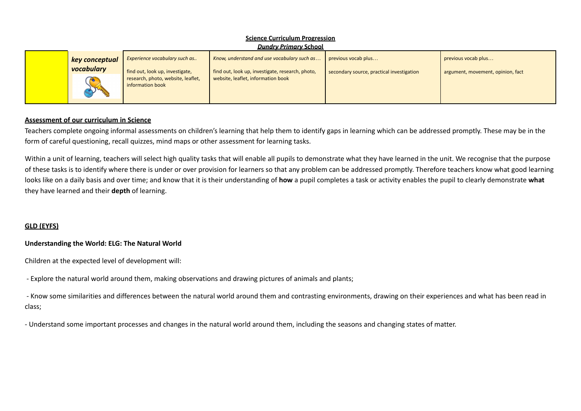| <b>Science Curriculum Progression</b> |                                                                  |                                                                                                 |                                                                  |                                                          |  |  |
|---------------------------------------|------------------------------------------------------------------|-------------------------------------------------------------------------------------------------|------------------------------------------------------------------|----------------------------------------------------------|--|--|
|                                       |                                                                  | <b>Dundry Primary School</b>                                                                    |                                                                  |                                                          |  |  |
| key conceptual<br>vocabulary          | Experience vocabulary such as<br>find out, look up, investigate, | Know, understand and use vocabulary such as<br>find out, look up, investigate, research, photo, | previous vocab plus<br>secondary source, practical investigation | previous vocab plus<br>argument, movement, opinion, fact |  |  |
|                                       | research, photo, website, leaflet,<br>information book           | website, leaflet, information book                                                              |                                                                  |                                                          |  |  |

# **Assessment of our curriculum in Science**

Teachers complete ongoing informal assessments on children's learning that help them to identify gaps in learning which can be addressed promptly. These may be in the form of careful questioning, recall quizzes, mind maps or other assessment for learning tasks.

Within a unit of learning, teachers will select high quality tasks that will enable all pupils to demonstrate what they have learned in the unit. We recognise that the purpose of these tasks is to identify where there is under or over provision for learners so that any problem can be addressed promptly. Therefore teachers know what good learning looks like on a daily basis and over time; and know that it is their understanding of **how** a pupil completes a task or activity enables the pupil to clearly demonstrate **what** they have learned and their **depth** of learning.

### **GLD (EYFS)**

### **Understanding the World: ELG: The Natural World**

Children at the expected level of development will:

- Explore the natural world around them, making observations and drawing pictures of animals and plants;

- Know some similarities and differences between the natural world around them and contrasting environments, drawing on their experiences and what has been read in class;

- Understand some important processes and changes in the natural world around them, including the seasons and changing states of matter.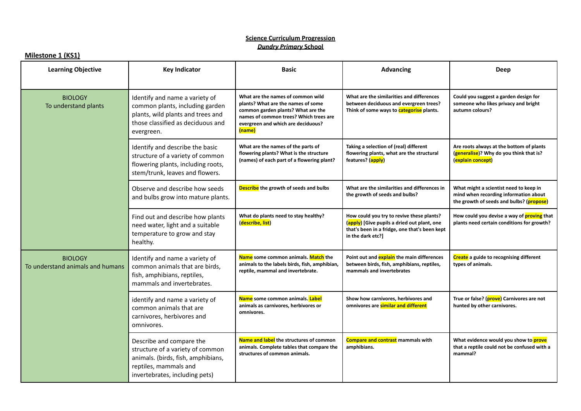### **Milestone 1 (KS1)**

| <b>Learning Objective</b>                          | <b>Key Indicator</b>                                                                                                                                          | <b>Basic</b>                                                                                                                                                                                            | <b>Advancing</b>                                                                                                                                               | <b>Deep</b>                                                                                                                 |
|----------------------------------------------------|---------------------------------------------------------------------------------------------------------------------------------------------------------------|---------------------------------------------------------------------------------------------------------------------------------------------------------------------------------------------------------|----------------------------------------------------------------------------------------------------------------------------------------------------------------|-----------------------------------------------------------------------------------------------------------------------------|
| <b>BIOLOGY</b><br>To understand plants             | Identify and name a variety of<br>common plants, including garden<br>plants, wild plants and trees and<br>those classified as deciduous and<br>evergreen.     | What are the names of common wild<br>plants? What are the names of some<br>common garden plants? What are the<br>names of common trees? Which trees are<br>evergreen and which are deciduous?<br>(name) | What are the similarities and differences<br>between deciduous and evergreen trees?<br>Think of some ways to <b>categorise</b> plants.                         | Could you suggest a garden design for<br>someone who likes privacy and bright<br>autumn colours?                            |
|                                                    | Identify and describe the basic<br>structure of a variety of common<br>flowering plants, including roots,<br>stem/trunk, leaves and flowers.                  | What are the names of the parts of<br>flowering plants? What is the structure<br>(names) of each part of a flowering plant?                                                                             | Taking a selection of (real) different<br>flowering plants, what are the structural<br>features? (apply)                                                       | Are roots always at the bottom of plants<br>(generalise)? Why do you think that is?<br>(explain concept)                    |
|                                                    | Observe and describe how seeds<br>and bulbs grow into mature plants.                                                                                          | Describe the growth of seeds and bulbs                                                                                                                                                                  | What are the similarities and differences in<br>the growth of seeds and bulbs?                                                                                 | What might a scientist need to keep in<br>mind when recording information about<br>the growth of seeds and bulbs? (propose) |
|                                                    | Find out and describe how plants<br>need water, light and a suitable<br>temperature to grow and stay<br>healthy.                                              | What do plants need to stay healthy?<br>(describe, list)                                                                                                                                                | How could you try to revive these plants?<br>(apply) [Give pupils a dried out plant, one<br>that's been in a fridge, one that's been kept<br>in the dark etc?] | How could you devise a way of <b>proving</b> that<br>plants need certain conditions for growth?                             |
| <b>BIOLOGY</b><br>To understand animals and humans | Identify and name a variety of<br>common animals that are birds,<br>fish, amphibians, reptiles,<br>mammals and invertebrates.                                 | Name some common animals. Match the<br>animals to the labels birds, fish, amphibian,<br>reptile, mammal and invertebrate.                                                                               | Point out and <b>explain</b> the main differences<br>between birds, fish, amphibians, reptiles,<br>mammals and invertebrates                                   | <b>Create</b> a guide to recognising different<br>types of animals.                                                         |
|                                                    | identify and name a variety of<br>common animals that are<br>carnivores, herbivores and<br>omnivores.                                                         | Name some common animals. Label<br>animals as carnivores, herbivores or<br>omnivores.                                                                                                                   | Show how carnivores, herbivores and<br>omnivores are similar and different                                                                                     | True or false? (prove) Carnivores are not<br>hunted by other carnivores.                                                    |
|                                                    | Describe and compare the<br>structure of a variety of common<br>animals. (birds, fish, amphibians,<br>reptiles, mammals and<br>invertebrates, including pets) | Name and label the structures of common<br>animals. Complete tables that compare the<br>structures of common animals.                                                                                   | Compare and contrast mammals with<br>amphibians.                                                                                                               | What evidence would you show to prove<br>that a reptile could not be confused with a<br>mammal?                             |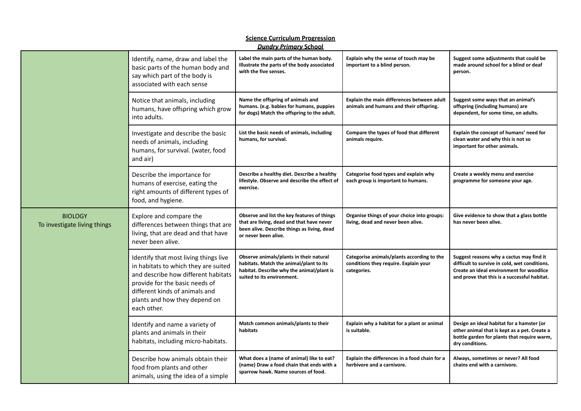|                                                |                                                                                                                                                                                                                                          | <b>Science Curriculum Progression</b><br><b>Dundry Primary School</b>                                                                                           |                                                                                                    |                                                                                                                                                                                       |
|------------------------------------------------|------------------------------------------------------------------------------------------------------------------------------------------------------------------------------------------------------------------------------------------|-----------------------------------------------------------------------------------------------------------------------------------------------------------------|----------------------------------------------------------------------------------------------------|---------------------------------------------------------------------------------------------------------------------------------------------------------------------------------------|
|                                                | Identify, name, draw and label the<br>basic parts of the human body and<br>say which part of the body is<br>associated with each sense                                                                                                   | Label the main parts of the human body.<br>Illustrate the parts of the body associated<br>with the five senses.                                                 | Explain why the sense of touch may be<br>important to a blind person.                              | Suggest some adjustments that could be<br>made around school for a blind or deaf<br>person.                                                                                           |
|                                                | Notice that animals, including<br>humans, have offspring which grow<br>into adults.                                                                                                                                                      | Name the offspring of animals and<br>humans. (e.g. babies for humans, puppies<br>for dogs) Match the offspring to the adult.                                    | Explain the main differences between adult<br>animals and humans and their offspring.              | Suggest some ways that an animal's<br>offspring (including humans) are<br>dependent, for some time, on adults.                                                                        |
|                                                | Investigate and describe the basic<br>needs of animals, including<br>humans, for survival. (water, food<br>and air)                                                                                                                      | List the basic needs of animals, including<br>humans, for survival.                                                                                             | Compare the types of food that different<br>animals require.                                       | Explain the concept of humans' need for<br>clean water and why this is not so<br>important for other animals.                                                                         |
|                                                | Describe the importance for<br>humans of exercise, eating the<br>right amounts of different types of<br>food, and hygiene.                                                                                                               | Describe a healthy diet. Describe a healthy<br>lifestyle. Observe and describe the effect of<br>exercise.                                                       | Categorise food types and explain why<br>each group is important to humans.                        | Create a weekly menu and exercise<br>programme for someone your age.                                                                                                                  |
| <b>BIOLOGY</b><br>To investigate living things | Explore and compare the<br>differences between things that are<br>living, that are dead and that have<br>never been alive.                                                                                                               | Observe and list the key features of things<br>that are living, dead and that have never<br>been alive. Describe things as living, dead<br>or never been alive. | Organise things of your choice into groups:<br>living, dead and never been alive.                  | Give evidence to show that a glass bottle<br>has never been alive.                                                                                                                    |
|                                                | Identify that most living things live<br>in habitats to which they are suited<br>and describe how different habitats<br>provide for the basic needs of<br>different kinds of animals and<br>plants and how they depend on<br>each other. | Observe animals/plants in their natural<br>habitats. Match the animal/plant to its<br>habitat. Describe why the animal/plant is<br>suited to its environment.   | Categorise animals/plants according to the<br>conditions they require. Explain your<br>categories. | Suggest reasons why a cactus may find it<br>difficult to survive in cold, wet conditions.<br>Create an ideal environment for woodlice<br>and prove that this is a successful habitat. |
|                                                | Identify and name a variety of<br>plants and animals in their<br>habitats, including micro-habitats.                                                                                                                                     | Match common animals/plants to their<br>habitats                                                                                                                | Explain why a habitat for a plant or animal<br>is suitable.                                        | Design an ideal habitat for a hamster (or<br>other animal that is kept as a pet. Create a<br>bottle garden for plants that require warm,<br>dry conditions.                           |
|                                                | Describe how animals obtain their<br>food from plants and other<br>animals, using the idea of a simple                                                                                                                                   | What does a (name of animal) like to eat?<br>(name) Draw a food chain that ends with a<br>sparrow hawk. Name sources of food.                                   | Explain the differences in a food chain for a<br>herbivore and a carnivore.                        | Always, sometimes or never? All food<br>chains end with a carnivore.                                                                                                                  |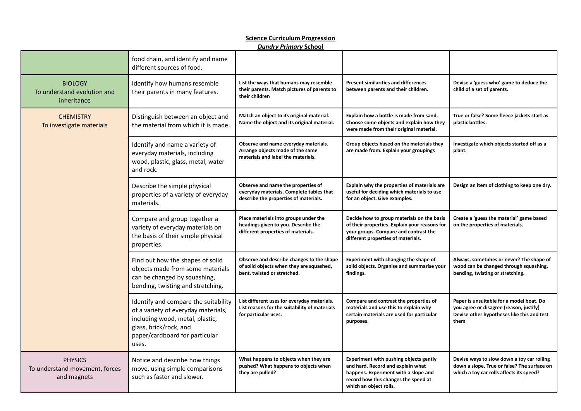|                                                                 | food chain, and identify and name<br>different sources of food.                                                                                                                     |                                                                                                                         |                                                                                                                                                                                       |                                                                                                                                           |
|-----------------------------------------------------------------|-------------------------------------------------------------------------------------------------------------------------------------------------------------------------------------|-------------------------------------------------------------------------------------------------------------------------|---------------------------------------------------------------------------------------------------------------------------------------------------------------------------------------|-------------------------------------------------------------------------------------------------------------------------------------------|
| <b>BIOLOGY</b><br>To understand evolution and<br>inheritance    | Identify how humans resemble<br>their parents in many features.                                                                                                                     | List the ways that humans may resemble<br>their parents. Match pictures of parents to<br>their children                 | <b>Present similarities and differences</b><br>between parents and their children.                                                                                                    | Devise a 'guess who' game to deduce the<br>child of a set of parents.                                                                     |
| <b>CHEMISTRY</b><br>To investigate materials                    | Distinguish between an object and<br>the material from which it is made.                                                                                                            | Match an object to its original material.<br>Name the object and its original material.                                 | Explain how a bottle is made from sand.<br>Choose some objects and explain how they<br>were made from their original material.                                                        | True or false? Some fleece jackets start as<br>plastic bottles.                                                                           |
|                                                                 | Identify and name a variety of<br>everyday materials, including<br>wood, plastic, glass, metal, water<br>and rock.                                                                  | Observe and name everyday materials.<br>Arrange objects made of the same<br>materials and label the materials.          | Group objects based on the materials they<br>are made from. Explain your groupings                                                                                                    | Investigate which objects started off as a<br>plant.                                                                                      |
|                                                                 | Describe the simple physical<br>properties of a variety of everyday<br>materials.                                                                                                   | Observe and name the properties of<br>everyday materials. Complete tables that<br>describe the properties of materials. | Explain why the properties of materials are<br>useful for deciding which materials to use<br>for an object. Give examples.                                                            | Design an item of clothing to keep one dry.                                                                                               |
|                                                                 | Compare and group together a<br>variety of everyday materials on<br>the basis of their simple physical<br>properties.                                                               | Place materials into groups under the<br>headings given to you. Describe the<br>different properties of materials.      | Decide how to group materials on the basis<br>of their properties. Explain your reasons for<br>your groups. Compare and contrast the<br>different properties of materials.            | Create a 'guess the material' game based<br>on the properties of materials.                                                               |
|                                                                 | Find out how the shapes of solid<br>objects made from some materials<br>can be changed by squashing,<br>bending, twisting and stretching.                                           | Observe and describe changes to the shape<br>of solid objects when they are squashed,<br>bent, twisted or stretched.    | Experiment with changing the shape of<br>solid objects. Organise and summarise your<br>findings.                                                                                      | Always, sometimes or never? The shape of<br>wood can be changed through squashing,<br>bending, twisting or stretching.                    |
|                                                                 | Identify and compare the suitability<br>of a variety of everyday materials,<br>including wood, metal, plastic,<br>glass, brick/rock, and<br>paper/cardboard for particular<br>uses. | List different uses for everyday materials.<br>List reasons for the suitability of materials<br>for particular uses.    | Compare and contrast the properties of<br>materials and use this to explain why<br>certain materials are used for particular<br>purposes.                                             | Paper is unsuitable for a model boat. Do<br>you agree or disagree (reason, justify)<br>Devise other hypotheses like this and test<br>them |
| <b>PHYSICS</b><br>To understand movement, forces<br>and magnets | Notice and describe how things<br>move, using simple comparisons<br>such as faster and slower.                                                                                      | What happens to objects when they are<br>pushed? What happens to objects when<br>they are pulled?                       | Experiment with pushing objects gently<br>and hard. Record and explain what<br>happens. Experiment with a slope and<br>record how this changes the speed at<br>which an object rolls. | Devise ways to slow down a toy car rolling<br>down a slope. True or false? The surface on<br>which a toy car rolls affects its speed?     |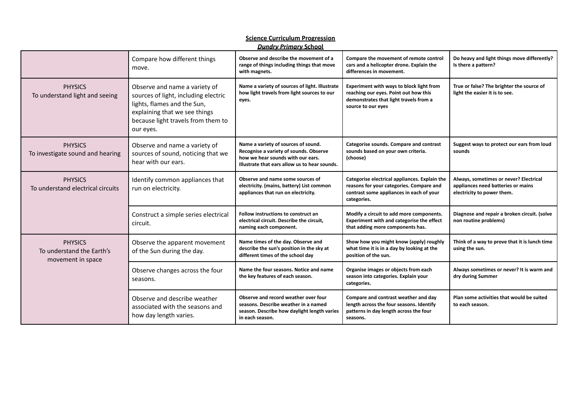|                                                                  | Compare how different things<br>move.                                                                                                                                                    | Observe and describe the movement of a<br>range of things including things that move<br>with magnets.                                                               | Compare the movement of remote control<br>cars and a helicopter drone. Explain the<br>differences in movement.                                       | Do heavy and light things move differently?<br>Is there a pattern?                                         |
|------------------------------------------------------------------|------------------------------------------------------------------------------------------------------------------------------------------------------------------------------------------|---------------------------------------------------------------------------------------------------------------------------------------------------------------------|------------------------------------------------------------------------------------------------------------------------------------------------------|------------------------------------------------------------------------------------------------------------|
| <b>PHYSICS</b><br>To understand light and seeing                 | Observe and name a variety of<br>sources of light, including electric<br>lights, flames and the Sun,<br>explaining that we see things<br>because light travels from them to<br>our eyes. | Name a variety of sources of light. Illustrate<br>how light travels from light sources to our<br>eyes.                                                              | Experiment with ways to block light from<br>reaching our eyes. Point out how this<br>demonstrates that light travels from a<br>source to our eyes    | True or false? The brighter the source of<br>light the easier it is to see.                                |
| <b>PHYSICS</b><br>To investigate sound and hearing               | Observe and name a variety of<br>sources of sound, noticing that we<br>hear with our ears.                                                                                               | Name a variety of sources of sound.<br>Recognise a variety of sounds. Observe<br>how we hear sounds with our ears.<br>Illustrate that ears allow us to hear sounds. | Categorise sounds. Compare and contrast<br>sounds based on your own criteria.<br>(choose)                                                            | Suggest ways to protect our ears from loud<br>sounds                                                       |
| <b>PHYSICS</b><br>To understand electrical circuits              | Identify common appliances that<br>run on electricity.                                                                                                                                   | Observe and name some sources of<br>electricity. (mains, battery) List common<br>appliances that run on electricity.                                                | Categorise electrical appliances. Explain the<br>reasons for your categories. Compare and<br>contrast some appliances in each of your<br>categories. | Always, sometimes or never? Electrical<br>appliances need batteries or mains<br>electricity to power them. |
|                                                                  | Construct a simple series electrical<br>circuit.                                                                                                                                         | <b>Follow instructions to construct an</b><br>electrical circuit. Describe the circuit,<br>naming each component.                                                   | Modify a circuit to add more components.<br>Experiment with and categorise the effect<br>that adding more components has.                            | Diagnose and repair a broken circuit. (solve<br>non routine problems)                                      |
| <b>PHYSICS</b><br>To understand the Earth's<br>movement in space | Observe the apparent movement<br>of the Sun during the day.                                                                                                                              | Name times of the day. Observe and<br>describe the sun's position in the sky at<br>different times of the school day                                                | Show how you might know (apply) roughly<br>what time it is in a day by looking at the<br>position of the sun.                                        | Think of a way to prove that it is lunch time<br>using the sun.                                            |
|                                                                  | Observe changes across the four<br>seasons.                                                                                                                                              | Name the four seasons. Notice and name<br>the key features of each season.                                                                                          | Organise images or objects from each<br>season into categories. Explain your<br>categories.                                                          | Always sometimes or never? It is warm and<br>dry during Summer                                             |
|                                                                  | Observe and describe weather<br>associated with the seasons and<br>how day length varies.                                                                                                | Observe and record weather over four<br>seasons. Describe weather in a named<br>season. Describe how daylight length varies<br>in each season.                      | Compare and contrast weather and day<br>length across the four seasons. Identify<br>patterns in day length across the four<br>seasons.               | Plan some activities that would be suited<br>to each season.                                               |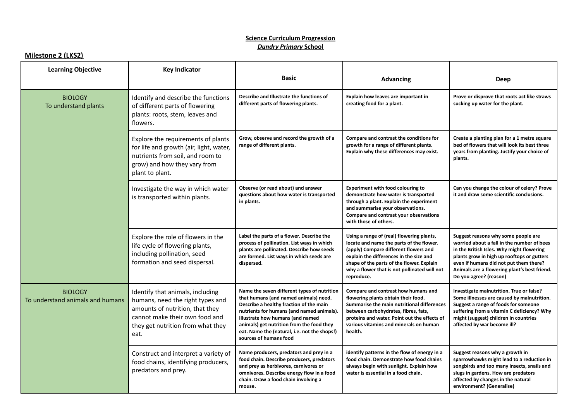### **Milestone 2 (LKS2)**

| <b>Learning Objective</b>                          | <b>Key Indicator</b>                                                                                                                                                                   |                                                                                                                                                                                                                                                                                                                                         |                                                                                                                                                                                                                                                                                      |                                                                                                                                                                                                                                                                                                  |
|----------------------------------------------------|----------------------------------------------------------------------------------------------------------------------------------------------------------------------------------------|-----------------------------------------------------------------------------------------------------------------------------------------------------------------------------------------------------------------------------------------------------------------------------------------------------------------------------------------|--------------------------------------------------------------------------------------------------------------------------------------------------------------------------------------------------------------------------------------------------------------------------------------|--------------------------------------------------------------------------------------------------------------------------------------------------------------------------------------------------------------------------------------------------------------------------------------------------|
|                                                    |                                                                                                                                                                                        | <b>Basic</b>                                                                                                                                                                                                                                                                                                                            | <b>Advancing</b>                                                                                                                                                                                                                                                                     | Deep                                                                                                                                                                                                                                                                                             |
| <b>BIOLOGY</b><br>To understand plants             | Identify and describe the functions<br>of different parts of flowering<br>plants: roots, stem, leaves and<br>flowers.                                                                  | Describe and Illustrate the functions of<br>different parts of flowering plants.                                                                                                                                                                                                                                                        | Explain how leaves are important in<br>creating food for a plant.                                                                                                                                                                                                                    | Prove or disprove that roots act like straws<br>sucking up water for the plant.                                                                                                                                                                                                                  |
|                                                    | Explore the requirements of plants<br>for life and growth (air, light, water,<br>nutrients from soil, and room to<br>grow) and how they vary from<br>plant to plant.                   | Grow, observe and record the growth of a<br>range of different plants.                                                                                                                                                                                                                                                                  | Compare and contrast the conditions for<br>growth for a range of different plants.<br>Explain why these differences may exist.                                                                                                                                                       | Create a planting plan for a 1 metre square<br>bed of flowers that will look its best three<br>years from planting. Justify your choice of<br>plants.                                                                                                                                            |
|                                                    | Investigate the way in which water<br>is transported within plants.                                                                                                                    | Observe (or read about) and answer<br>questions about how water is transported<br>in plants.                                                                                                                                                                                                                                            | <b>Experiment with food colouring to</b><br>demonstrate how water is transported<br>through a plant. Explain the experiment<br>and summarise your observations.<br>Compare and contrast your observations<br>with those of others.                                                   | Can you change the colour of celery? Prove<br>it and draw some scientific conclusions.                                                                                                                                                                                                           |
|                                                    | Explore the role of flowers in the<br>life cycle of flowering plants,<br>including pollination, seed<br>formation and seed dispersal.                                                  | Label the parts of a flower. Describe the<br>process of pollination. List ways in which<br>plants are pollinated. Describe how seeds<br>are formed. List ways in which seeds are<br>dispersed.                                                                                                                                          | Using a range of (real) flowering plants,<br>locate and name the parts of the flower.<br>(apply) Compare different flowers and<br>explain the differences in the size and<br>shape of the parts of the flower. Explain<br>why a flower that is not pollinated will not<br>reproduce. | Suggest reasons why some people are<br>worried about a fall in the number of bees<br>in the British Isles. Why might flowering<br>plants grow in high up rooftops or gutters<br>even if humans did not put them there?<br>Animals are a flowering plant's best friend.<br>Do you agree? (reason) |
| <b>BIOLOGY</b><br>To understand animals and humans | Identify that animals, including<br>humans, need the right types and<br>amounts of nutrition, that they<br>cannot make their own food and<br>they get nutrition from what they<br>eat. | Name the seven different types of nutrition<br>that humans (and named animals) need.<br>Describe a healthy fraction of the main<br>nutrients for humans (and named animals).<br>Illustrate how humans (and named<br>animals) get nutrition from the food they<br>eat. Name the (natural, i.e. not the shops!)<br>sources of humans food | Compare and contrast how humans and<br>flowering plants obtain their food.<br>Summarise the main nutritional differences<br>between carbohydrates, fibres, fats,<br>proteins and water. Point out the effects of<br>various vitamins and minerals on human<br>health.                | Investigate malnutrition. True or false?<br>Some illnesses are caused by malnutrition.<br>Suggest a range of foods for someone<br>suffering from a vitamin C deficiency? Why<br>might (suggest) children in countries<br>affected by war become ill?                                             |
|                                                    | Construct and interpret a variety of<br>food chains, identifying producers,<br>predators and prey.                                                                                     | Name producers, predators and prey in a<br>food chain. Describe producers, predators<br>and prey as herbivores, carnivores or<br>omnivores. Describe energy flow in a food<br>chain. Draw a food chain involving a<br>mouse.                                                                                                            | identify patterns in the flow of energy in a<br>food chain. Demonstrate how food chains<br>always begin with sunlight. Explain how<br>water is essential in a food chain.                                                                                                            | Suggest reasons why a growth in<br>sparrowhawks might lead to a reduction in<br>songbirds and too many insects, snails and<br>slugs in gardens. How are predators<br>affected by changes in the natural<br>environment? (Generalise)                                                             |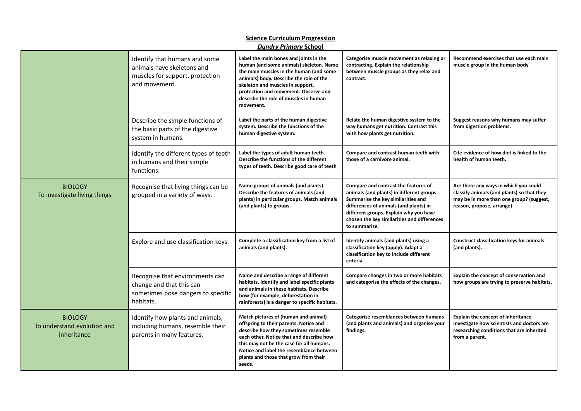| <b>Science Curriculum Progression</b><br><b>Dundry Primary School</b> |                                                                                                                 |                                                                                                                                                                                                                                                                                                               |                                                                                                                                                                                                                                                                             |                                                                                                                                                              |
|-----------------------------------------------------------------------|-----------------------------------------------------------------------------------------------------------------|---------------------------------------------------------------------------------------------------------------------------------------------------------------------------------------------------------------------------------------------------------------------------------------------------------------|-----------------------------------------------------------------------------------------------------------------------------------------------------------------------------------------------------------------------------------------------------------------------------|--------------------------------------------------------------------------------------------------------------------------------------------------------------|
|                                                                       | Identify that humans and some<br>animals have skeletons and<br>muscles for support, protection<br>and movement. | Label the main bones and joints in the<br>human (and some animals) skeleton. Name<br>the main muscles in the human (and some<br>animals) body. Describe the role of the<br>skeleton and muscles in support,<br>protection and movement. Observe and<br>describe the role of muscles in human<br>movement.     | Categorise muscle movement as relaxing or<br>contracting. Explain the relationship<br>between muscle groups as they relax and<br>contract.                                                                                                                                  | Recommend exercises that use each main<br>muscle group in the human body                                                                                     |
|                                                                       | Describe the simple functions of<br>the basic parts of the digestive<br>system in humans.                       | Label the parts of the human digestive<br>system. Describe the functions of the<br>human digestive system.                                                                                                                                                                                                    | Relate the human digestive system to the<br>way humans get nutrition. Contrast this<br>with how plants get nutrition.                                                                                                                                                       | Suggest reasons why humans may suffer<br>from digestion problems.                                                                                            |
|                                                                       | Identify the different types of teeth<br>in humans and their simple<br>functions.                               | Label the types of adult human teeth.<br>Describe the functions of the different<br>types of teeth. Describe good care of teeth                                                                                                                                                                               | Compare and contrast human teeth with<br>those of a carnivore animal.                                                                                                                                                                                                       | Cite evidence of how diet is linked to the<br>health of human teeth.                                                                                         |
| <b>BIOLOGY</b><br>To investigate living things                        | Recognise that living things can be<br>grouped in a variety of ways.                                            | Name groups of animals (and plants).<br>Describe the features of animals (and<br>plants) in particular groups. Match animals<br>(and plants) to groups.                                                                                                                                                       | Compare and contrast the features of<br>animals (and plants) in different groups.<br>Summarise the key similarities and<br>differences of animals (and plants) in<br>different groups. Explain why you have<br>chosen the key similarities and differences<br>to summarise. | Are there any ways in which you could<br>classify animals (and plants) so that they<br>may be in more than one group? (suggest,<br>reason, propose, arrange) |
|                                                                       | Explore and use classification keys.                                                                            | Complete a classification key from a list of<br>animals (and plants).                                                                                                                                                                                                                                         | Identify animals (and plants) using a<br>classification key (apply). Adapt a<br>classification key to include different<br>criteria.                                                                                                                                        | <b>Construct classification keys for animals</b><br>(and plants).                                                                                            |
|                                                                       | Recognise that environments can<br>change and that this can<br>sometimes pose dangers to specific<br>habitats.  | Name and describe a range of different<br>habitats. Identify and label specific plants<br>and animals in these habitats. Describe<br>how (for example, deforestation in<br>rainforests) is a danger to specific habitats.                                                                                     | Compare changes in two or more habitats<br>and categorise the effects of the changes.                                                                                                                                                                                       | Explain the concept of conservation and<br>how groups are trying to preserve habitats.                                                                       |
| <b>BIOLOGY</b><br>To understand evolution and<br>inheritance          | Identify how plants and animals,<br>including humans, resemble their<br>parents in many features.               | Match pictures of (human and animal)<br>offspring to their parents. Notice and<br>describe how they sometimes resemble<br>each other. Notice that and describe how<br>this may not be the case for all humans.<br>Notice and label the resemblance between<br>plants and those that grow from their<br>seeds. | Categorise resemblances between humans<br>(and plants and animals) and organise your<br>findings.                                                                                                                                                                           | Explain the concept of inheritance.<br>Investigate how scientists and doctors are<br>researching conditions that are inherited<br>from a parent.             |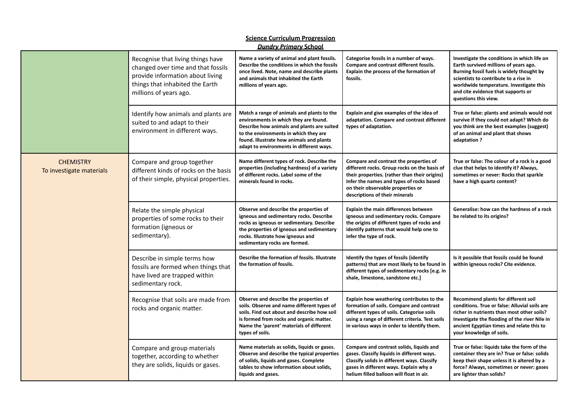| <b>Science Curriculum Progression</b><br><b>Dundry Primary School</b> |                                                                                                                                                                          |                                                                                                                                                                                                                                                                    |                                                                                                                                                                                                                                                            |                                                                                                                                                                                                                                                                                     |  |
|-----------------------------------------------------------------------|--------------------------------------------------------------------------------------------------------------------------------------------------------------------------|--------------------------------------------------------------------------------------------------------------------------------------------------------------------------------------------------------------------------------------------------------------------|------------------------------------------------------------------------------------------------------------------------------------------------------------------------------------------------------------------------------------------------------------|-------------------------------------------------------------------------------------------------------------------------------------------------------------------------------------------------------------------------------------------------------------------------------------|--|
|                                                                       | Recognise that living things have<br>changed over time and that fossils<br>provide information about living<br>things that inhabited the Earth<br>millions of years ago. | Name a variety of animal and plant fossils.<br>Describe the conditions in which the fossils<br>once lived. Note, name and describe plants<br>and animals that inhabited the Earth<br>millions of years ago.                                                        | Categorise fossils in a number of ways.<br>Compare and contrast different fossils.<br>Explain the process of the formation of<br>fossils.                                                                                                                  | Investigate the conditions in which life on<br>Earth survived millions of years ago.<br>Burning fossil fuels is widely thought by<br>scientists to contribute to a rise in<br>worldwide temperature. Investigate this<br>and cite evidence that supports or<br>questions this view. |  |
|                                                                       | Identify how animals and plants are<br>suited to and adapt to their<br>environment in different ways.                                                                    | Match a range of animals and plants to the<br>environments in which they are found.<br>Describe how animals and plants are suited<br>to the environments in which they are<br>found. Illustrate how animals and plants<br>adapt to environments in different ways. | Explain and give examples of the idea of<br>adaptation. Compare and contrast different<br>types of adaptation.                                                                                                                                             | True or false: plants and animals would not<br>survive if they could not adapt? Which do<br>you think are the best examples (suggest)<br>of an animal and plant that shows<br>adaptation ?                                                                                          |  |
| <b>CHEMISTRY</b><br>To investigate materials                          | Compare and group together<br>different kinds of rocks on the basis<br>of their simple, physical properties.                                                             | Name different types of rock. Describe the<br>properties (including hardness) of a variety<br>of different rocks. Label some of the<br>minerals found in rocks.                                                                                                    | Compare and contrast the properties of<br>different rocks. Group rocks on the basis of<br>their properties. (rather than their origins)<br>Infer the names and types of rocks based<br>on their observable properties or<br>descriptions of their minerals | True or false: The colour of a rock is a good<br>clue that helps to identify it? Always,<br>sometimes or never: Rocks that sparkle<br>have a high quartz content?                                                                                                                   |  |
|                                                                       | Relate the simple physical<br>properties of some rocks to their<br>formation (igneous or<br>sedimentary).                                                                | Observe and describe the properties of<br>igneous and sedimentary rocks. Describe<br>rocks as igneous or sedimentary. Describe<br>the properties of igneous and sedimentary<br>rocks. Illustrate how igneous and<br>sedimentary rocks are formed.                  | <b>Explain the main differences between</b><br>igneous and sedimentary rocks. Compare<br>the origins of different types of rocks and<br>identify patterns that would help one to<br>infer the type of rock.                                                | Generalise: how can the hardness of a rock<br>be related to its origins?                                                                                                                                                                                                            |  |
|                                                                       | Describe in simple terms how<br>fossils are formed when things that<br>have lived are trapped within<br>sedimentary rock.                                                | Describe the formation of fossils. Illustrate<br>the formation of fossils.                                                                                                                                                                                         | Identify the types of fossils (identify<br>patterns) that are most likely to be found in<br>different types of sedimentary rocks [e.g. in<br>shale, limestone, sandstone etc.]                                                                             | Is it possible that fossils could be found<br>within igneous rocks? Cite evidence.                                                                                                                                                                                                  |  |
|                                                                       | Recognise that soils are made from<br>rocks and organic matter.                                                                                                          | Observe and describe the properties of<br>soils. Observe and name different types of<br>soils. Find out about and describe how soil<br>is formed from rocks and organic matter.<br>Name the 'parent' materials of different<br>types of soils.                     | Explain how weathering contributes to the<br>formation of soils. Compare and contrast<br>different types of soils. Categorise soils<br>using a range of different criteria. Test soils<br>in various ways in order to identify them.                       | Recommend plants for different soil<br>conditions. True or false: Alluvial soils are<br>richer in nutrients than most other soils?<br>Investigate the flooding of the river Nile in<br>ancient Egyptian times and relate this to<br>your knowledge of soils.                        |  |
|                                                                       | Compare and group materials<br>together, according to whether<br>they are solids, liquids or gases.                                                                      | Name materials as solids, liquids or gases.<br>Observe and describe the typical properties<br>of solids, liquids and gases. Complete<br>tables to show information about solids,<br>liquids and gases.                                                             | Compare and contrast solids, liquids and<br>gases. Classify liquids in different ways.<br>Classify solids in different ways. Classify<br>gases in different ways. Explain why a<br>helium filled balloon will float in air.                                | True or false: liquids take the form of the<br>container they are in? True or false: solids<br>keep their shape unless it is altered by a<br>force? Always, sometimes or never: gases<br>are lighter than solids?                                                                   |  |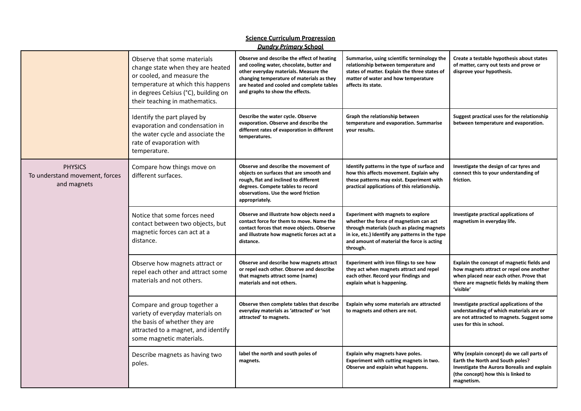| <b>Science Curriculum Progression</b><br><b>Dundry Primary School</b> |                                                                                                                                                                                                               |                                                                                                                                                                                                                                                              |                                                                                                                                                                                                                                                |                                                                                                                                                                                            |
|-----------------------------------------------------------------------|---------------------------------------------------------------------------------------------------------------------------------------------------------------------------------------------------------------|--------------------------------------------------------------------------------------------------------------------------------------------------------------------------------------------------------------------------------------------------------------|------------------------------------------------------------------------------------------------------------------------------------------------------------------------------------------------------------------------------------------------|--------------------------------------------------------------------------------------------------------------------------------------------------------------------------------------------|
|                                                                       | Observe that some materials<br>change state when they are heated<br>or cooled, and measure the<br>temperature at which this happens<br>in degrees Celsius (°C), building on<br>their teaching in mathematics. | Observe and describe the effect of heating<br>and cooling water, chocolate, butter and<br>other everyday materials. Measure the<br>changing temperature of materials as they<br>are heated and cooled and complete tables<br>and graphs to show the effects. | Summarise, using scientific terminology the<br>relationship between temperature and<br>states of matter. Explain the three states of<br>matter of water and how temperature<br>affects its state.                                              | Create a testable hypothesis about states<br>of matter, carry out tests and prove or<br>disprove your hypothesis.                                                                          |
|                                                                       | Identify the part played by<br>evaporation and condensation in<br>the water cycle and associate the<br>rate of evaporation with<br>temperature.                                                               | Describe the water cycle. Observe<br>evaporation. Observe and describe the<br>different rates of evaporation in different<br>temperatures.                                                                                                                   | Graph the relationship between<br>temperature and evaporation. Summarise<br>your results.                                                                                                                                                      | Suggest practical uses for the relationship<br>between temperature and evaporation.                                                                                                        |
| <b>PHYSICS</b><br>To understand movement, forces<br>and magnets       | Compare how things move on<br>different surfaces.                                                                                                                                                             | Observe and describe the movement of<br>objects on surfaces that are smooth and<br>rough, flat and inclined to different<br>degrees. Compete tables to record<br>observations. Use the word friction<br>appropriately.                                       | Identify patterns in the type of surface and<br>how this affects movement. Explain why<br>these patterns may exist. Experiment with<br>practical applications of this relationship.                                                            | Investigate the design of car tyres and<br>connect this to your understanding of<br>friction.                                                                                              |
|                                                                       | Notice that some forces need<br>contact between two objects, but<br>magnetic forces can act at a<br>distance.                                                                                                 | Observe and illustrate how objects need a<br>contact force for them to move. Name the<br>contact forces that move objects. Observe<br>and illustrate how magnetic forces act at a<br>distance.                                                               | <b>Experiment with magnets to explore</b><br>whether the force of magnetism can act<br>through materials (such as placing magnets<br>in ice, etc.) Identify any patterns in the type<br>and amount of material the force is acting<br>through. | Investigate practical applications of<br>magnetism in everyday life.                                                                                                                       |
|                                                                       | Observe how magnets attract or<br>repel each other and attract some<br>materials and not others.                                                                                                              | Observe and describe how magnets attract<br>or repel each other. Observe and describe<br>that magnets attract some (name)<br>materials and not others.                                                                                                       | Experiment with iron filings to see how<br>they act when magnets attract and repel<br>each other. Record your findings and<br>explain what is happening.                                                                                       | Explain the concept of magnetic fields and<br>how magnets attract or repel one another<br>when placed near each other. Prove that<br>there are magnetic fields by making them<br>'visible' |
|                                                                       | Compare and group together a<br>variety of everyday materials on<br>the basis of whether they are<br>attracted to a magnet, and identify<br>some magnetic materials.                                          | Observe then complete tables that describe<br>everyday materials as 'attracted' or 'not<br>attracted' to magnets.                                                                                                                                            | Explain why some materials are attracted<br>to magnets and others are not.                                                                                                                                                                     | Investigate practical applications of the<br>understanding of which materials are or<br>are not attracted to magnets. Suggest some<br>uses for this in school.                             |
|                                                                       | Describe magnets as having two<br>poles.                                                                                                                                                                      | label the north and south poles of<br>magnets.                                                                                                                                                                                                               | Explain why magnets have poles.<br>Experiment with cutting magnets in two.<br>Observe and explain what happens.                                                                                                                                | Why (explain concept) do we call parts of<br>Earth the North and South poles?<br>Investigate the Aurora Borealis and explain<br>(the concept) how this is linked to<br>magnetism.          |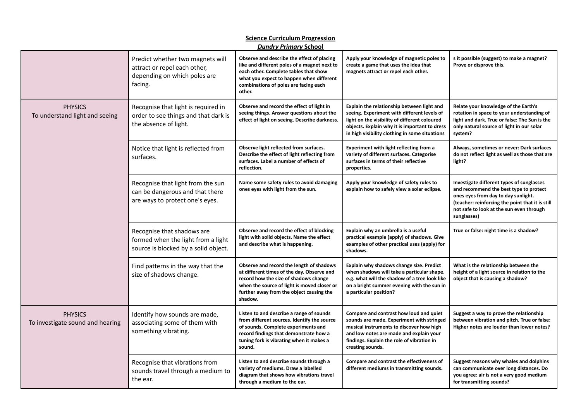| <b>Dundry Primary School</b>                       |                                                                                                             |                                                                                                                                                                                                                                       |                                                                                                                                                                                                                                               |                                                                                                                                                                                                                                           |  |
|----------------------------------------------------|-------------------------------------------------------------------------------------------------------------|---------------------------------------------------------------------------------------------------------------------------------------------------------------------------------------------------------------------------------------|-----------------------------------------------------------------------------------------------------------------------------------------------------------------------------------------------------------------------------------------------|-------------------------------------------------------------------------------------------------------------------------------------------------------------------------------------------------------------------------------------------|--|
|                                                    | Predict whether two magnets will<br>attract or repel each other,<br>depending on which poles are<br>facing. | Observe and describe the effect of placing<br>like and different poles of a magnet next to<br>each other. Complete tables that show<br>what you expect to happen when different<br>combinations of poles are facing each<br>other.    | Apply your knowledge of magnetic poles to<br>create a game that uses the idea that<br>magnets attract or repel each other.                                                                                                                    | s it possible (suggest) to make a magnet?<br>Prove or disprove this.                                                                                                                                                                      |  |
| <b>PHYSICS</b><br>To understand light and seeing   | Recognise that light is required in<br>order to see things and that dark is<br>the absence of light.        | Observe and record the effect of light in<br>seeing things. Answer questions about the<br>effect of light on seeing. Describe darkness.                                                                                               | Explain the relationship between light and<br>seeing. Experiment with different levels of<br>light on the visibility of different coloured<br>objects. Explain why it is important to dress<br>in high visibility clothing in some situations | Relate your knowledge of the Earth's<br>rotation in space to your understanding of<br>light and dark. True or false: The Sun is the<br>only natural source of light in our solar<br>system?                                               |  |
|                                                    | Notice that light is reflected from<br>surfaces.                                                            | Observe light reflected from surfaces.<br>Describe the effect of light reflecting from<br>surfaces. Label a number of effects of<br>reflection.                                                                                       | <b>Experiment with light reflecting from a</b><br>variety of different surfaces. Categorise<br>surfaces in terms of their reflective<br>properties.                                                                                           | Always, sometimes or never: Dark surfaces<br>do not reflect light as well as those that are<br>light?                                                                                                                                     |  |
|                                                    | Recognise that light from the sun<br>can be dangerous and that there<br>are ways to protect one's eyes.     | Name some safety rules to avoid damaging<br>ones eyes with light from the sun.                                                                                                                                                        | Apply your knowledge of safety rules to<br>explain how to safely view a solar eclipse.                                                                                                                                                        | Investigate different types of sunglasses<br>and recommend the best type to protect<br>ones eyes from day to day sunlight.<br>(teacher: reinforcing the point that it is still<br>not safe to look at the sun even through<br>sunglasses) |  |
|                                                    | Recognise that shadows are<br>formed when the light from a light<br>source is blocked by a solid object.    | Observe and record the effect of blocking<br>light with solid objects. Name the effect<br>and describe what is happening.                                                                                                             | Explain why an umbrella is a useful<br>practical example (apply) of shadows. Give<br>examples of other practical uses (apply) for<br>shadows.                                                                                                 | True or false: night time is a shadow?                                                                                                                                                                                                    |  |
|                                                    | Find patterns in the way that the<br>size of shadows change.                                                | Observe and record the length of shadows<br>at different times of the day. Observe and<br>record how the size of shadows change<br>when the source of light is moved closer or<br>further away from the object causing the<br>shadow. | Explain why shadows change size. Predict<br>when shadows will take a particular shape.<br>e.g. what will the shadow of a tree look like<br>on a bright summer evening with the sun in<br>a particular position?                               | What is the relationship between the<br>height of a light source in relation to the<br>object that is causing a shadow?                                                                                                                   |  |
| <b>PHYSICS</b><br>To investigate sound and hearing | Identify how sounds are made,<br>associating some of them with<br>something vibrating.                      | Listen to and describe a range of sounds<br>from different sources. Identify the source<br>of sounds. Complete experiments and<br>record findings that demonstrate how a<br>tuning fork is vibrating when it makes a<br>sound.        | Compare and contrast how loud and quiet<br>sounds are made. Experiment with stringed<br>musical instruments to discover how high<br>and low notes are made and explain your<br>findings. Explain the role of vibration in<br>creating sounds. | Suggest a way to prove the relationship<br>between vibration and pitch. True or false:<br>Higher notes are louder than lower notes?                                                                                                       |  |
|                                                    | Recognise that vibrations from<br>sounds travel through a medium to<br>the ear.                             | Listen to and describe sounds through a<br>variety of mediums. Draw a labelled<br>diagram that shows how vibrations travel<br>through a medium to the ear.                                                                            | Compare and contrast the effectiveness of<br>different mediums in transmitting sounds.                                                                                                                                                        | Suggest reasons why whales and dolphins<br>can communicate over long distances. Do<br>you agree: air is not a very good medium<br>for transmitting sounds?                                                                                |  |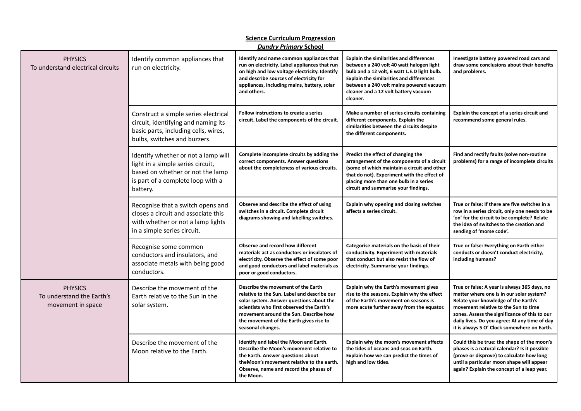| <b>Dundry Primary School</b>                                     |                                                                                                                                                               |                                                                                                                                                                                                                                                                                     |                                                                                                                                                                                                                                                                                               |                                                                                                                                                                                                                                                                                                                           |
|------------------------------------------------------------------|---------------------------------------------------------------------------------------------------------------------------------------------------------------|-------------------------------------------------------------------------------------------------------------------------------------------------------------------------------------------------------------------------------------------------------------------------------------|-----------------------------------------------------------------------------------------------------------------------------------------------------------------------------------------------------------------------------------------------------------------------------------------------|---------------------------------------------------------------------------------------------------------------------------------------------------------------------------------------------------------------------------------------------------------------------------------------------------------------------------|
| <b>PHYSICS</b><br>To understand electrical circuits              | Identify common appliances that<br>run on electricity.                                                                                                        | Identify and name common appliances that<br>run on electricity. Label appliances that run<br>on high and low voltage electricity. Identify<br>and describe sources of electricity for<br>appliances, including mains, battery, solar<br>and others.                                 | <b>Explain the similarities and differences</b><br>between a 240 volt 40 watt halogen light<br>bulb and a 12 volt, 6 watt L.E.D light bulb.<br><b>Explain the similarities and differences</b><br>between a 240 volt mains powered vacuum<br>cleaner and a 12 volt battery vacuum<br>cleaner. | Investigate battery powered road cars and<br>draw some conclusions about their benefits<br>and problems.                                                                                                                                                                                                                  |
|                                                                  | Construct a simple series electrical<br>circuit, identifying and naming its<br>basic parts, including cells, wires,<br>bulbs, switches and buzzers.           | Follow instructions to create a series<br>circuit. Label the components of the circuit.                                                                                                                                                                                             | Make a number of series circuits containing<br>different components. Explain the<br>similarities between the circuits despite<br>the different components.                                                                                                                                    | Explain the concept of a series circuit and<br>recommend some general rules.                                                                                                                                                                                                                                              |
|                                                                  | Identify whether or not a lamp will<br>light in a simple series circuit,<br>based on whether or not the lamp<br>is part of a complete loop with a<br>battery. | Complete incomplete circuits by adding the<br>correct components. Answer questions<br>about the completeness of various circuits.                                                                                                                                                   | Predict the effect of changing the<br>arrangement of the components of a circuit<br>(some of which maintain a circuit and other<br>that do not). Experiment with the effect of<br>placing more than one bulb in a series<br>circuit and summarise your findings.                              | Find and rectify faults (solve non-routine<br>problems) for a range of incomplete circuits                                                                                                                                                                                                                                |
|                                                                  | Recognise that a switch opens and<br>closes a circuit and associate this<br>with whether or not a lamp lights<br>in a simple series circuit.                  | Observe and describe the effect of using<br>switches in a circuit. Complete circuit<br>diagrams showing and labelling switches.                                                                                                                                                     | Explain why opening and closing switches<br>affects a series circuit.                                                                                                                                                                                                                         | True or false: If there are five switches in a<br>row in a series circuit, only one needs to be<br>'on' for the circuit to be complete? Relate<br>the idea of switches to the creation and<br>sending of 'morse code'.                                                                                                    |
|                                                                  | Recognise some common<br>conductors and insulators, and<br>associate metals with being good<br>conductors.                                                    | Observe and record how different<br>materials act as conductors or insulators of<br>electricity. Observe the effect of some poor<br>and good conductors and label materials as<br>poor or good conductors.                                                                          | Categorise materials on the basis of their<br>conductivity. Experiment with materials<br>that conduct but also resist the flow of<br>electricity. Summarise your findings.                                                                                                                    | True or false: Everything on Earth either<br>conducts or doesn't conduct electricity,<br>including humans?                                                                                                                                                                                                                |
| <b>PHYSICS</b><br>To understand the Earth's<br>movement in space | Describe the movement of the<br>Earth relative to the Sun in the<br>solar system.                                                                             | Describe the movement of the Earth<br>relative to the Sun. Label and describe our<br>solar system. Answer questions about the<br>scientists who first observed the Earth's<br>movement around the Sun. Describe how<br>the movement of the Earth gives rise to<br>seasonal changes. | Explain why the Earth's movement gives<br>rise to the seasons. Explain why the effect<br>of the Earth's movement on seasons is<br>more acute further away from the equator.                                                                                                                   | True or false: A year is always 365 days, no<br>matter where one is in our solar system?<br>Relate your knowledge of the Earth's<br>movement relative to the Sun to time<br>zones. Assess the significance of this to our<br>daily lives. Do you agree: At any time of day<br>it is always 5 O' Clock somewhere on Earth. |
|                                                                  | Describe the movement of the<br>Moon relative to the Earth.                                                                                                   | identify and label the Moon and Earth.<br>Describe the Moon's movement relative to<br>the Earth. Answer questions about<br>theMoon's movement relative to the earth.<br>Observe, name and record the phases of<br>the Moon.                                                         | Explain why the moon's movement affects<br>the tides of oceans and seas on Earth.<br>Explain how we can predict the times of<br>high and low tides.                                                                                                                                           | Could this be true: the shape of the moon's<br>phases is a natural calendar? Is it possible<br>(prove or disprove) to calculate how long<br>until a particular moon shape will appear<br>again? Explain the concept of a leap year.                                                                                       |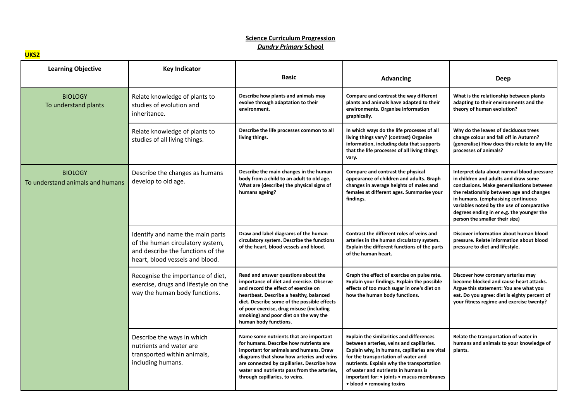**UKS2**

| <b>Learning Objective</b>                          | <b>Key Indicator</b>                                                                                                                         | <b>Basic</b>                                                                                                                                                                                                                                                                                                                    | <b>Advancing</b>                                                                                                                                                                                                                                                                                                                                  | Deep                                                                                                                                                                                                                                                                                                                                          |
|----------------------------------------------------|----------------------------------------------------------------------------------------------------------------------------------------------|---------------------------------------------------------------------------------------------------------------------------------------------------------------------------------------------------------------------------------------------------------------------------------------------------------------------------------|---------------------------------------------------------------------------------------------------------------------------------------------------------------------------------------------------------------------------------------------------------------------------------------------------------------------------------------------------|-----------------------------------------------------------------------------------------------------------------------------------------------------------------------------------------------------------------------------------------------------------------------------------------------------------------------------------------------|
| <b>BIOLOGY</b><br>To understand plants             | Relate knowledge of plants to<br>studies of evolution and<br>inheritance.                                                                    | Describe how plants and animals may<br>evolve through adaptation to their<br>environment.                                                                                                                                                                                                                                       | Compare and contrast the way different<br>plants and animals have adapted to their<br>environments. Organise information<br>graphically.                                                                                                                                                                                                          | What is the relationship between plants<br>adapting to their environments and the<br>theory of human evolution?                                                                                                                                                                                                                               |
|                                                    | Relate knowledge of plants to<br>studies of all living things.                                                                               | Describe the life processes common to all<br>living things.                                                                                                                                                                                                                                                                     | In which ways do the life processes of all<br>living things vary? (contrast) Organise<br>information, including data that supports<br>that the life processes of all living things<br>vary.                                                                                                                                                       | Why do the leaves of deciduous trees<br>change colour and fall off in Autumn?<br>(generalise) How does this relate to any life<br>processes of animals?                                                                                                                                                                                       |
| <b>BIOLOGY</b><br>To understand animals and humans | Describe the changes as humans<br>develop to old age.                                                                                        | Describe the main changes in the human<br>body from a child to an adult to old age.<br>What are (describe) the physical signs of<br>humans ageing?                                                                                                                                                                              | Compare and contrast the physical<br>appearance of children and adults. Graph<br>changes in average heights of males and<br>females at different ages. Summarise your<br>findings.                                                                                                                                                                | Interpret data about normal blood pressure<br>in children and adults and draw some<br>conclusions. Make generalisations between<br>the relationship between age and changes<br>in humans. (emphasising continuous<br>variables noted by the use of comparative<br>degrees ending in er e.g. the younger the<br>person the smaller their size) |
|                                                    | Identify and name the main parts<br>of the human circulatory system,<br>and describe the functions of the<br>heart, blood vessels and blood. | Draw and label diagrams of the human<br>circulatory system. Describe the functions<br>of the heart, blood vessels and blood.                                                                                                                                                                                                    | Contrast the different roles of veins and<br>arteries in the human circulatory system.<br>Explain the different functions of the parts<br>of the human heart.                                                                                                                                                                                     | Discover information about human blood<br>pressure. Relate information about blood<br>pressure to diet and lifestyle.                                                                                                                                                                                                                         |
|                                                    | Recognise the importance of diet,<br>exercise, drugs and lifestyle on the<br>way the human body functions.                                   | Read and answer questions about the<br>importance of diet and exercise. Observe<br>and record the effect of exercise on<br>heartbeat. Describe a healthy, balanced<br>diet. Describe some of the possible effects<br>of poor exercise, drug misuse (including<br>smoking) and poor diet on the way the<br>human body functions. | Graph the effect of exercise on pulse rate.<br>Explain your findings. Explain the possible<br>effects of too much sugar in one's diet on<br>how the human body functions.                                                                                                                                                                         | Discover how coronary arteries may<br>become blocked and cause heart attacks.<br>Argue this statement: You are what you<br>eat. Do you agree: diet is eighty percent of<br>your fitness regime and exercise twenty?                                                                                                                           |
|                                                    | Describe the ways in which<br>nutrients and water are<br>transported within animals,<br>including humans.                                    | Name some nutrients that are important<br>for humans. Describe how nutrients are<br>important for animals and humans. Draw<br>diagrams that show how arteries and veins<br>are connected by capillaries. Describe how<br>water and nutrients pass from the arteries,<br>through capillaries, to veins.                          | <b>Explain the similarities and differences</b><br>between arteries, veins and capillaries.<br>Explain why, in humans, capillaries are vital<br>for the transportation of water and<br>nutrients. Explain why the transportation<br>of water and nutrients in humans is<br>important for: • joints • mucus membranes<br>• blood • removing toxins | Relate the transportation of water in<br>humans and animals to your knowledge of<br>plants.                                                                                                                                                                                                                                                   |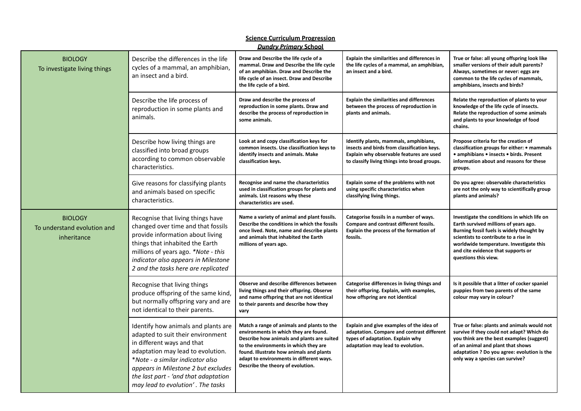| <b>Science Curriculum Progression</b><br><b>Dundry Primary School</b> |                                                                                                                                                                                                                                                                                                     |                                                                                                                                                                                                                                                                                                         |                                                                                                                                                                                  |                                                                                                                                                                                                                                                                                     |
|-----------------------------------------------------------------------|-----------------------------------------------------------------------------------------------------------------------------------------------------------------------------------------------------------------------------------------------------------------------------------------------------|---------------------------------------------------------------------------------------------------------------------------------------------------------------------------------------------------------------------------------------------------------------------------------------------------------|----------------------------------------------------------------------------------------------------------------------------------------------------------------------------------|-------------------------------------------------------------------------------------------------------------------------------------------------------------------------------------------------------------------------------------------------------------------------------------|
| <b>BIOLOGY</b><br>To investigate living things                        | Describe the differences in the life<br>cycles of a mammal, an amphibian,<br>an insect and a bird.                                                                                                                                                                                                  | Draw and Describe the life cycle of a<br>mammal. Draw and Describe the life cycle<br>of an amphibian. Draw and Describe the<br>life cycle of an insect. Draw and Describe<br>the life cycle of a bird.                                                                                                  | <b>Explain the similarities and differences in</b><br>the life cycles of a mammal, an amphibian,<br>an insect and a bird.                                                        | True or false: all young offspring look like<br>smaller versions of their adult parents?<br>Always, sometimes or never: eggs are<br>common to the life cycles of mammals,<br>amphibians, insects and birds?                                                                         |
|                                                                       | Describe the life process of<br>reproduction in some plants and<br>animals.                                                                                                                                                                                                                         | Draw and describe the process of<br>reproduction in some plants. Draw and<br>describe the process of reproduction in<br>some animals.                                                                                                                                                                   | <b>Explain the similarities and differences</b><br>between the process of reproduction in<br>plants and animals.                                                                 | Relate the reproduction of plants to your<br>knowledge of the life cycle of insects.<br>Relate the reproduction of some animals<br>and plants to your knowledge of food<br>chains.                                                                                                  |
|                                                                       | Describe how living things are<br>classified into broad groups<br>according to common observable<br>characteristics.                                                                                                                                                                                | Look at and copy classification keys for<br>common insects. Use classification keys to<br>identify insects and animals. Make<br>classification keys.                                                                                                                                                    | Identify plants, mammals, amphibians,<br>insects and birds from classification keys.<br>Explain why observable features are used<br>to classify living things into broad groups. | Propose criteria for the creation of<br>classification groups for either: • mammals<br>• amphibians • insects • birds. Present<br>information about and reasons for these<br>groups.                                                                                                |
|                                                                       | Give reasons for classifying plants<br>and animals based on specific<br>characteristics.                                                                                                                                                                                                            | Recognise and name the characteristics<br>used in classification groups for plants and<br>animals. List reasons why these<br>characteristics are used.                                                                                                                                                  | Explain some of the problems with not<br>using specific characteristics when<br>classifying living things.                                                                       | Do you agree: observable characteristics<br>are not the only way to scientifically group<br>plants and animals?                                                                                                                                                                     |
| <b>BIOLOGY</b><br>To understand evolution and<br>inheritance          | Recognise that living things have<br>changed over time and that fossils<br>provide information about living<br>things that inhabited the Earth<br>millions of years ago. *Note - this<br>indicator also appears in Milestone<br>2 and the tasks here are replicated                                 | Name a variety of animal and plant fossils.<br>Describe the conditions in which the fossils<br>once lived. Note, name and describe plants<br>and animals that inhabited the Earth<br>millions of years ago.                                                                                             | Categorise fossils in a number of ways.<br>Compare and contrast different fossils.<br>Explain the process of the formation of<br>fossils.                                        | Investigate the conditions in which life on<br>Earth survived millions of years ago.<br>Burning fossil fuels is widely thought by<br>scientists to contribute to a rise in<br>worldwide temperature. Investigate this<br>and cite evidence that supports or<br>questions this view. |
|                                                                       | Recognise that living things<br>produce offspring of the same kind,<br>but normally offspring vary and are<br>not identical to their parents.                                                                                                                                                       | Observe and describe differences between<br>living things and their offspring. Observe<br>and name offspring that are not identical<br>to their parents and describe how they<br>vary                                                                                                                   | Categorise differences in living things and<br>their offspring. Explain, with examples,<br>how offspring are not identical                                                       | Is it possible that a litter of cocker spaniel<br>puppies from two parents of the same<br>colour may vary in colour?                                                                                                                                                                |
|                                                                       | Identify how animals and plants are<br>adapted to suit their environment<br>in different ways and that<br>adaptation may lead to evolution.<br>*Note - a similar indicator also<br>appears in Milestone 2 but excludes<br>the last part - 'and that adaptation<br>may lead to evolution'. The tasks | Match a range of animals and plants to the<br>environments in which they are found.<br>Describe how animals and plants are suited<br>to the environments in which they are<br>found. Illustrate how animals and plants<br>adapt to environments in different ways.<br>Describe the theory of evolution. | Explain and give examples of the idea of<br>adaptation. Compare and contrast different<br>types of adaptation. Explain why<br>adaptation may lead to evolution.                  | True or false: plants and animals would not<br>survive if they could not adapt? Which do<br>you think are the best examples (suggest)<br>of an animal and plant that shows<br>adaptation ? Do you agree: evolution is the<br>only way a species can survive?                        |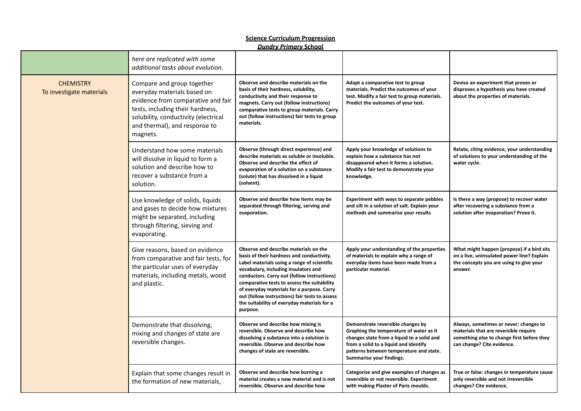|                                              | <u>Dundry Primary School</u>                                                                                                                                                                                             |                                                                                                                                                                                                                                                                                                                                                                                                                                    |                                                                                                                                                                                                                                            |                                                                                                                                                             |
|----------------------------------------------|--------------------------------------------------------------------------------------------------------------------------------------------------------------------------------------------------------------------------|------------------------------------------------------------------------------------------------------------------------------------------------------------------------------------------------------------------------------------------------------------------------------------------------------------------------------------------------------------------------------------------------------------------------------------|--------------------------------------------------------------------------------------------------------------------------------------------------------------------------------------------------------------------------------------------|-------------------------------------------------------------------------------------------------------------------------------------------------------------|
|                                              | here are replicated with some<br>additional tasks about evolution.                                                                                                                                                       |                                                                                                                                                                                                                                                                                                                                                                                                                                    |                                                                                                                                                                                                                                            |                                                                                                                                                             |
| <b>CHEMISTRY</b><br>To investigate materials | Compare and group together<br>everyday materials based on<br>evidence from comparative and fair<br>tests, including their hardness,<br>solubility, conductivity (electrical<br>and thermal), and response to<br>magnets. | Observe and describe materials on the<br>basis of their hardness, solubility,<br>conductivity and their response to<br>magnets. Carry out (follow instructions)<br>comparative tests to group materials. Carry<br>out (follow instructions) fair tests to group<br>materials.                                                                                                                                                      | Adapt a comparative test to group<br>materials. Predict the outcomes of your<br>test. Modify a fair test to group materials.<br>Predict the outcomes of your test.                                                                         | Devise an experiment that proves or<br>disproves a hypothesis you have created<br>about the properties of materials.                                        |
|                                              | Understand how some materials<br>will dissolve in liquid to form a<br>solution and describe how to<br>recover a substance from a<br>solution.                                                                            | Observe (through direct experience) and<br>describe materials as soluble or insoluble.<br>Observe and describe the effect of<br>evaporation of a solution on a substance<br>(solute) that has dissolved in a liquid<br>(solvent).                                                                                                                                                                                                  | Apply your knowledge of solutions to<br>explain how a substance has not<br>disappeared when it forms a solution.<br>Modify a fair test to demonstrate your<br>knowledge.                                                                   | Relate, citing evidence, your understanding<br>of solutions to your understanding of the<br>water cycle.                                                    |
|                                              | Use knowledge of solids, liquids<br>and gases to decide how mixtures<br>might be separated, including<br>through filtering, sieving and<br>evaporating.                                                                  | Observe and describe how items may be<br>separated through filtering, serving and<br>evaporation.                                                                                                                                                                                                                                                                                                                                  | Experiment with ways to separate pebbles<br>and silt in a solution of salt. Explain your<br>methods and summarise your results                                                                                                             | Is there a way (propose) to recover water<br>after recovering a substance from a<br>solution after evaporation? Prove it.                                   |
|                                              | Give reasons, based on evidence<br>from comparative and fair tests, for<br>the particular uses of everyday<br>materials, including metals, wood<br>and plastic.                                                          | Observe and describe materials on the<br>basis of their hardness and conductivity.<br>Label materials using a range of scientific<br>vocabulary, including insulators and<br>conductors. Carry out (follow instructions)<br>comparative tests to assess the suitability<br>of everyday materials for a purpose. Carry<br>out (follow instructions) fair tests to assess<br>the suitability of everyday materials for a<br>purpose. | Apply your understanding of the properties<br>of materials to explain why a range of<br>everyday items have been made from a<br>particular material.                                                                                       | What might happen (propose) if a bird sits<br>on a live, uninsulated power line? Explain<br>the concepts you are using to give your<br>answer.              |
|                                              | Demonstrate that dissolving,<br>mixing and changes of state are<br>reversible changes.                                                                                                                                   | Observe and describe how mixing is<br>reversible. Observe and describe how<br>dissolving a substance into a solution is<br>reversible. Observe and describe how<br>changes of state are reversible.                                                                                                                                                                                                                                | Demonstrate reversible changes by<br>Graphing the temperature of water as it<br>changes state from a liquid to a solid and<br>from a solid to a liquid and identify<br>patterns between temperature and state.<br>Summarise your findings. | Always, sometimes or never: changes to<br>materials that are reversible require<br>something else to change first before they<br>can change? Cite evidence. |
|                                              | Explain that some changes result in<br>the formation of new materials,                                                                                                                                                   | Observe and describe how burning a<br>material creates a new material and is not<br>reversible. Observe and describe how                                                                                                                                                                                                                                                                                                           | Categorise and give examples of changes as<br>reversible or not reversible. Experiment<br>with making Plaster of Paris moulds.                                                                                                             | True or false: changes in temperature cause<br>only reversible and not irreversible<br>changes? Cite evidence.                                              |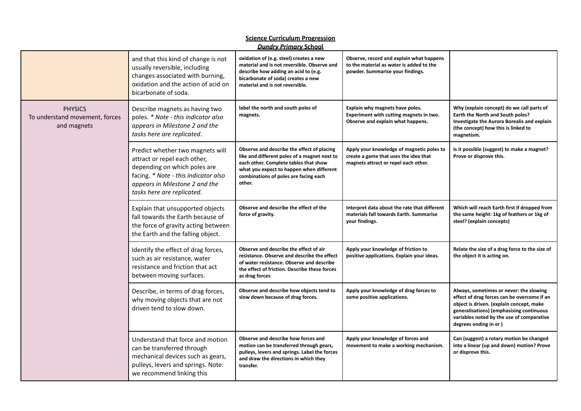| <b>Science Curriculum Progression</b><br><b>Dundry Primary School</b> |                                                                                                                                                                                                          |                                                                                                                                                                                                                                    |                                                                                                                            |                                                                                                                                                                                                                                                      |
|-----------------------------------------------------------------------|----------------------------------------------------------------------------------------------------------------------------------------------------------------------------------------------------------|------------------------------------------------------------------------------------------------------------------------------------------------------------------------------------------------------------------------------------|----------------------------------------------------------------------------------------------------------------------------|------------------------------------------------------------------------------------------------------------------------------------------------------------------------------------------------------------------------------------------------------|
|                                                                       | and that this kind of change is not<br>usually reversible, including<br>changes associated with burning,<br>oxidation and the action of acid on<br>bicarbonate of soda.                                  | oxidation of (e.g. steel) creates a new<br>material and is not reversible. Observe and<br>describe how adding an acid to (e.g.<br>bicarbonate of soda) creates a new<br>material and is not reversible.                            | Observe, record and explain what happens<br>to the material as water is added to the<br>powder. Summarise your findings.   |                                                                                                                                                                                                                                                      |
| <b>PHYSICS</b><br>To understand movement, forces<br>and magnets       | Describe magnets as having two<br>poles. * Note - this indicator also<br>appears in Milestone 2 and the<br>tasks here are replicated.                                                                    | label the north and south poles of<br>magnets.                                                                                                                                                                                     | Explain why magnets have poles.<br>Experiment with cutting magnets in two.<br>Observe and explain what happens.            | Why (explain concept) do we call parts of<br>Earth the North and South poles?<br>Investigate the Aurora Borealis and explain<br>(the concept) how this is linked to<br>magnetism.                                                                    |
|                                                                       | Predict whether two magnets will<br>attract or repel each other,<br>depending on which poles are<br>facing. * Note - this indicator also<br>appears in Milestone 2 and the<br>tasks here are replicated. | Observe and describe the effect of placing<br>like and different poles of a magnet next to<br>each other. Complete tables that show<br>what you expect to happen when different<br>combinations of poles are facing each<br>other. | Apply your knowledge of magnetic poles to<br>create a game that uses the idea that<br>magnets attract or repel each other. | Is it possible (suggest) to make a magnet?<br>Prove or disprove this.                                                                                                                                                                                |
|                                                                       | Explain that unsupported objects<br>fall towards the Earth because of<br>the force of gravity acting between<br>the Earth and the falling object.                                                        | Observe and describe the effect of the<br>force of gravity.                                                                                                                                                                        | Interpret data about the rate that different<br>materials fall towards Earth. Summarise<br>your findings.                  | Which will reach Earth first if dropped from<br>the same height: 1kg of feathers or 1kg of<br>steel? (explain concepts)                                                                                                                              |
|                                                                       | Identify the effect of drag forces,<br>such as air resistance, water<br>resistance and friction that act<br>between moving surfaces.                                                                     | Observe and describe the effect of air<br>resistance. Observe and describe the effect<br>of water resistance. Observe and describe<br>the effect of friction. Describe these forces<br>as drag forces                              | Apply your knowledge of friction to<br>positive applications. Explain your ideas.                                          | Relate the size of a drag force to the size of<br>the object it is acting on.                                                                                                                                                                        |
|                                                                       | Describe, in terms of drag forces,<br>why moving objects that are not<br>driven tend to slow down.                                                                                                       | Observe and describe how objects tend to<br>slow down because of drag forces.                                                                                                                                                      | Apply your knowledge of drag forces to<br>some positive applications.                                                      | Always, sometimes or never: the slowing<br>effect of drag forces can be overcome if an<br>object is driven. (explain concept, make<br>generalisations) (emphasising continuous<br>variables noted by the use of comparative<br>degrees ending in er) |
|                                                                       | Understand that force and motion<br>can be transferred through<br>mechanical devices such as gears,<br>pulleys, levers and springs. Note:<br>we recommend linking this                                   | Observe and describe how forces and<br>motion can be transferred through gears,<br>pulleys, levers and springs. Label the forces<br>and draw the directions in which they<br>transfer.                                             | Apply your knowledge of forces and<br>movement to make a working mechanism.                                                | Can (suggest) a rotary motion be changed<br>into a linear (up and down) motion? Prove<br>or disprove this.                                                                                                                                           |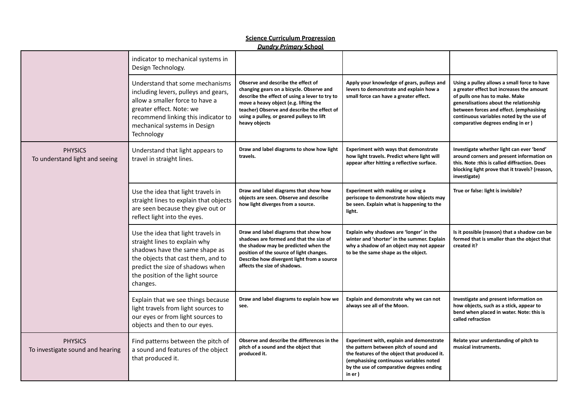|                                                    |                                                                                                                                                                                                                                 | <u>,,,,,,,,,,,,,,,,,,,,,,,,,,,,</u>                                                                                                                                                                                                                                                    |                                                                                                                                                                                                                                      |                                                                                                                                                                                                                                                                                                  |
|----------------------------------------------------|---------------------------------------------------------------------------------------------------------------------------------------------------------------------------------------------------------------------------------|----------------------------------------------------------------------------------------------------------------------------------------------------------------------------------------------------------------------------------------------------------------------------------------|--------------------------------------------------------------------------------------------------------------------------------------------------------------------------------------------------------------------------------------|--------------------------------------------------------------------------------------------------------------------------------------------------------------------------------------------------------------------------------------------------------------------------------------------------|
|                                                    | indicator to mechanical systems in<br>Design Technology.                                                                                                                                                                        |                                                                                                                                                                                                                                                                                        |                                                                                                                                                                                                                                      |                                                                                                                                                                                                                                                                                                  |
|                                                    | Understand that some mechanisms<br>including levers, pulleys and gears,<br>allow a smaller force to have a<br>greater effect. Note: we<br>recommend linking this indicator to<br>mechanical systems in Design<br>Technology     | Observe and describe the effect of<br>changing gears on a bicycle. Observe and<br>describe the effect of using a lever to try to<br>move a heavy object (e.g. lifting the<br>teacher) Observe and describe the effect of<br>using a pulley, or geared pulleys to lift<br>heavy objects | Apply your knowledge of gears, pulleys and<br>levers to demonstrate and explain how a<br>small force can have a greater effect.                                                                                                      | Using a pulley allows a small force to have<br>a greater effect but increases the amount<br>of pulls one has to make. Make<br>generalisations about the relationship<br>between forces and effect. (emphasising<br>continuous variables noted by the use of<br>comparative degrees ending in er) |
| <b>PHYSICS</b><br>To understand light and seeing   | Understand that light appears to<br>travel in straight lines.                                                                                                                                                                   | Draw and label diagrams to show how light<br>travels.                                                                                                                                                                                                                                  | <b>Experiment with ways that demonstrate</b><br>how light travels. Predict where light will<br>appear after hitting a reflective surface.                                                                                            | Investigate whether light can ever 'bend'<br>around corners and present information on<br>this. Note : this is called diffraction. Does<br>blocking light prove that it travels? (reason,<br>investigate)                                                                                        |
|                                                    | Use the idea that light travels in<br>straight lines to explain that objects<br>are seen because they give out or<br>reflect light into the eyes.                                                                               | Draw and label diagrams that show how<br>objects are seen. Observe and describe<br>how light diverges from a source.                                                                                                                                                                   | Experiment with making or using a<br>periscope to demonstrate how objects may<br>be seen. Explain what is happening to the<br>light.                                                                                                 | True or false: light is invisible?                                                                                                                                                                                                                                                               |
|                                                    | Use the idea that light travels in<br>straight lines to explain why<br>shadows have the same shape as<br>the objects that cast them, and to<br>predict the size of shadows when<br>the position of the light source<br>changes. | Draw and label diagrams that show how<br>shadows are formed and that the size of<br>the shadow may be predicted when the<br>position of the source of light changes.<br>Describe how divergent light from a source<br>affects the size of shadows.                                     | Explain why shadows are 'longer' in the<br>winter and 'shorter' in the summer. Explain<br>why a shadow of an object may not appear<br>to be the same shape as the object.                                                            | Is it possible (reason) that a shadow can be<br>formed that is smaller than the object that<br>created it?                                                                                                                                                                                       |
|                                                    | Explain that we see things because<br>light travels from light sources to<br>our eyes or from light sources to<br>objects and then to our eyes.                                                                                 | Draw and label diagrams to explain how we<br>see.                                                                                                                                                                                                                                      | Explain and demonstrate why we can not<br>always see all of the Moon.                                                                                                                                                                | Investigate and present information on<br>how objects, such as a stick, appear to<br>bend when placed in water. Note: this is<br>called refraction                                                                                                                                               |
| <b>PHYSICS</b><br>To investigate sound and hearing | Find patterns between the pitch of<br>a sound and features of the object<br>that produced it.                                                                                                                                   | Observe and describe the differences in the<br>pitch of a sound and the object that<br>produced it.                                                                                                                                                                                    | Experiment with, explain and demonstrate<br>the pattern between pitch of sound and<br>the features of the object that produced it.<br>(emphasising continuous variables noted<br>by the use of comparative degrees ending<br>in er ) | Relate your understanding of pitch to<br>musical instruments.                                                                                                                                                                                                                                    |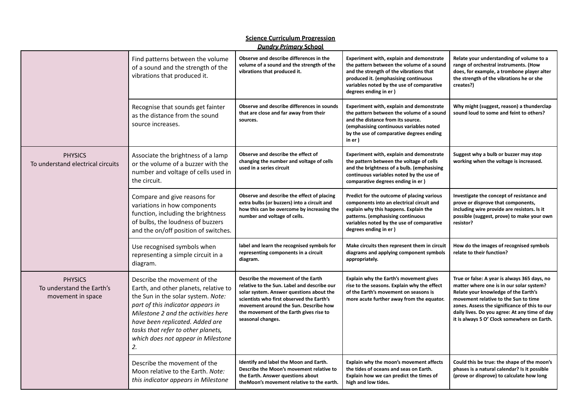|                                                                  |                                                                                                                                                                                                                                                                                                              | <b>Dundry Primary School</b>                                                                                                                                                                                                                                                        |                                                                                                                                                                                                                                                |                                                                                                                                                                                                                                                                                                                           |
|------------------------------------------------------------------|--------------------------------------------------------------------------------------------------------------------------------------------------------------------------------------------------------------------------------------------------------------------------------------------------------------|-------------------------------------------------------------------------------------------------------------------------------------------------------------------------------------------------------------------------------------------------------------------------------------|------------------------------------------------------------------------------------------------------------------------------------------------------------------------------------------------------------------------------------------------|---------------------------------------------------------------------------------------------------------------------------------------------------------------------------------------------------------------------------------------------------------------------------------------------------------------------------|
|                                                                  | Find patterns between the volume<br>of a sound and the strength of the<br>vibrations that produced it.                                                                                                                                                                                                       | Observe and describe differences in the<br>volume of a sound and the strength of the<br>vibrations that produced it.                                                                                                                                                                | Experiment with, explain and demonstrate<br>the pattern between the volume of a sound<br>and the strength of the vibrations that<br>produced it. (emphasising continuous<br>variables noted by the use of comparative<br>degrees ending in er) | Relate your understanding of volume to a<br>range of orchestral instruments. (How<br>does, for example, a trombone player alter<br>the strength of the vibrations he or she<br>creates?)                                                                                                                                  |
|                                                                  | Recognise that sounds get fainter<br>as the distance from the sound<br>source increases.                                                                                                                                                                                                                     | Observe and describe differences in sounds<br>that are close and far away from their<br>sources.                                                                                                                                                                                    | Experiment with, explain and demonstrate<br>the pattern between the volume of a sound<br>and the distance from its source.<br>(emphasising continuous variables noted<br>by the use of comparative degrees ending<br>in er )                   | Why might (suggest, reason) a thunderclap<br>sound loud to some and feint to others?                                                                                                                                                                                                                                      |
| <b>PHYSICS</b><br>To understand electrical circuits              | Associate the brightness of a lamp<br>or the volume of a buzzer with the<br>number and voltage of cells used in<br>the circuit.                                                                                                                                                                              | Observe and describe the effect of<br>changing the number and voltage of cells<br>used in a series circuit                                                                                                                                                                          | Experiment with, explain and demonstrate<br>the pattern between the voltage of cells<br>and the brightness of a bulb. (emphasising<br>continuous variables noted by the use of<br>comparative degrees ending in er)                            | Suggest why a bulb or buzzer may stop<br>working when the voltage is increased.                                                                                                                                                                                                                                           |
|                                                                  | Compare and give reasons for<br>variations in how components<br>function, including the brightness<br>of bulbs, the loudness of buzzers<br>and the on/off position of switches.                                                                                                                              | Observe and describe the effect of placing<br>extra bulbs (or buzzers) into a circuit and<br>how this can be overcome by increasing the<br>number and voltage of cells.                                                                                                             | Predict for the outcome of placing various<br>components into an electrical circuit and<br>explain why this happens. Explain the<br>patterns. (emphasising continuous<br>variables noted by the use of comparative<br>degrees ending in er)    | Investigate the concept of resistance and<br>prove or disprove that components,<br>including wire provide are resistors. Is it<br>possible (suggest, prove) to make your own<br>resistor?                                                                                                                                 |
|                                                                  | Use recognised symbols when<br>representing a simple circuit in a<br>diagram.                                                                                                                                                                                                                                | label and learn the recognised symbols for<br>representing components in a circuit<br>diagram.                                                                                                                                                                                      | Make circuits then represent them in circuit<br>diagrams and applying component symbols<br>appropriately.                                                                                                                                      | How do the images of recognised symbols<br>relate to their function?                                                                                                                                                                                                                                                      |
| <b>PHYSICS</b><br>To understand the Earth's<br>movement in space | Describe the movement of the<br>Earth, and other planets, relative to<br>the Sun in the solar system. Note:<br>part of this indicator appears in<br>Milestone 2 and the activities here<br>have been replicated. Added are<br>tasks that refer to other planets,<br>which does not appear in Milestone<br>2. | Describe the movement of the Earth<br>relative to the Sun. Label and describe our<br>solar system. Answer questions about the<br>scientists who first observed the Earth's<br>movement around the Sun. Describe how<br>the movement of the Earth gives rise to<br>seasonal changes. | Explain why the Earth's movement gives<br>rise to the seasons. Explain why the effect<br>of the Earth's movement on seasons is<br>more acute further away from the equator.                                                                    | True or false: A year is always 365 days, no<br>matter where one is in our solar system?<br>Relate your knowledge of the Earth's<br>movement relative to the Sun to time<br>zones. Assess the significance of this to our<br>daily lives. Do you agree: At any time of day<br>it is always 5 O' Clock somewhere on Earth. |
|                                                                  | Describe the movement of the<br>Moon relative to the Earth. Note:<br>this indicator appears in Milestone                                                                                                                                                                                                     | Identify and label the Moon and Earth.<br>Describe the Moon's movement relative to<br>the Earth. Answer questions about<br>the Moon's movement relative to the earth.                                                                                                               | Explain why the moon's movement affects<br>the tides of oceans and seas on Earth.<br>Explain how we can predict the times of<br>high and low tides.                                                                                            | Could this be true: the shape of the moon's<br>phases is a natural calendar? Is it possible<br>(prove or disprove) to calculate how long                                                                                                                                                                                  |